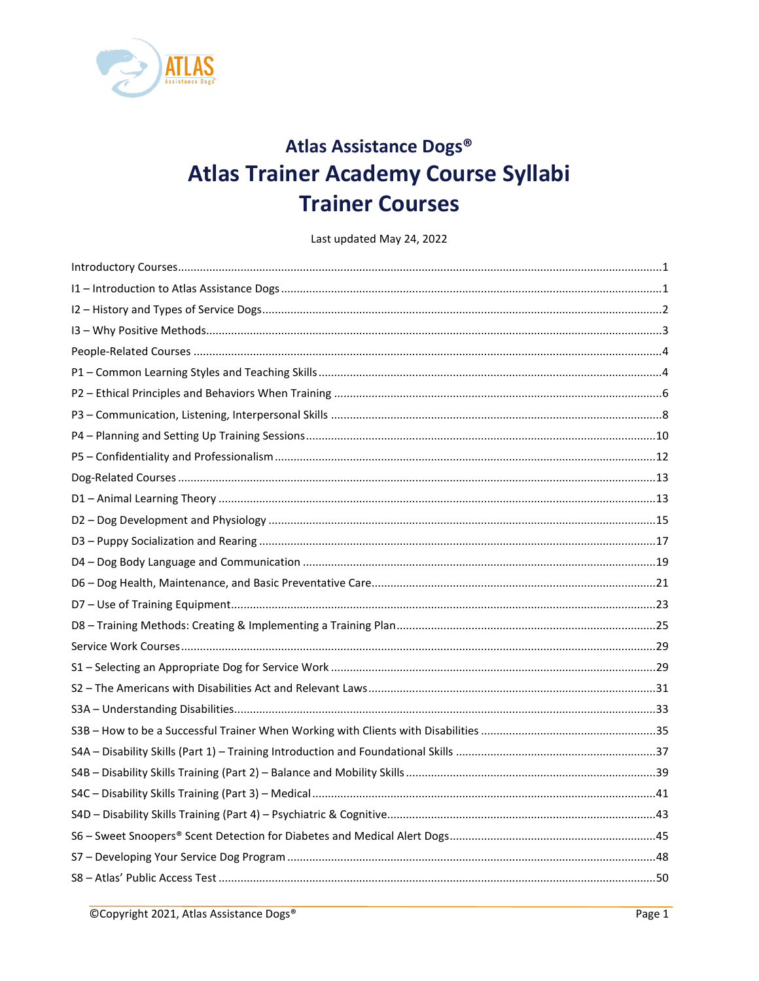

# Atlas Assistance Dogs® **Atlas Trainer Academy Course Syllabi Trainer Courses**

Last updated May 24, 2022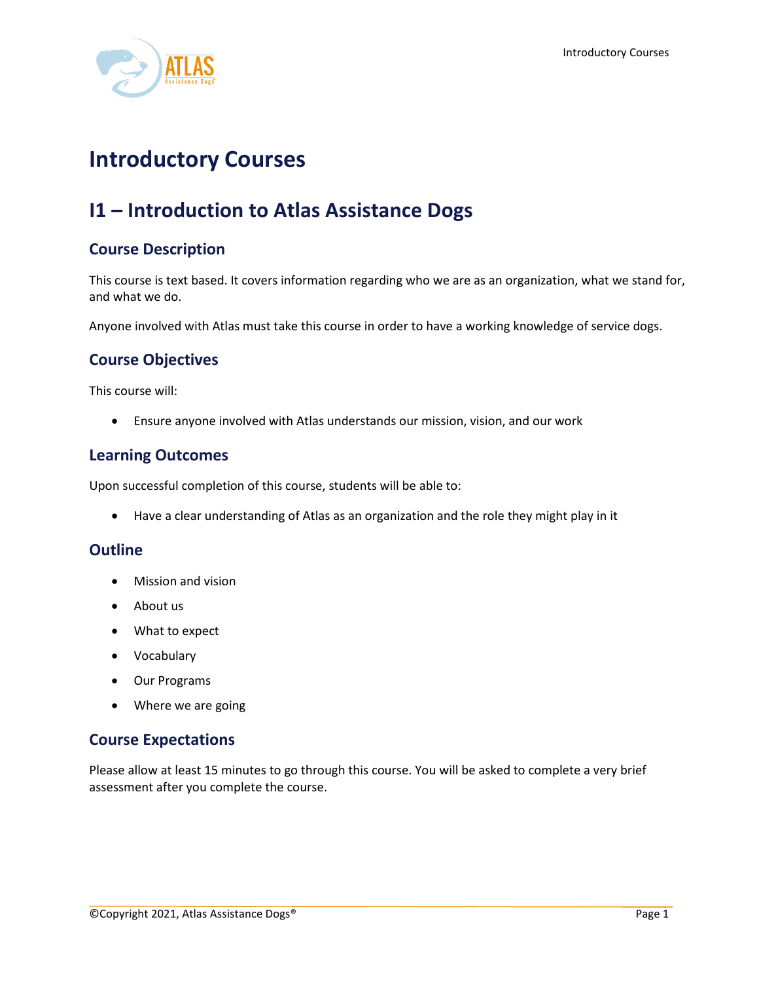

# <span id="page-1-0"></span>**Introductory Courses**

# <span id="page-1-1"></span>**I1 – Introduction to Atlas Assistance Dogs**

## **Course Description**

This course is text based. It covers information regarding who we are as an organization, what we stand for, and what we do.

Anyone involved with Atlas must take this course in order to have a working knowledge of service dogs.

# **Course Objectives**

This course will:

• Ensure anyone involved with Atlas understands our mission, vision, and our work

## **Learning Outcomes**

Upon successful completion of this course, students will be able to:

• Have a clear understanding of Atlas as an organization and the role they might play in it

#### **Outline**

- Mission and vision
- About us
- What to expect
- Vocabulary
- Our Programs
- Where we are going

#### **Course Expectations**

Please allow at least 15 minutes to go through this course. You will be asked to complete a very brief assessment after you complete the course.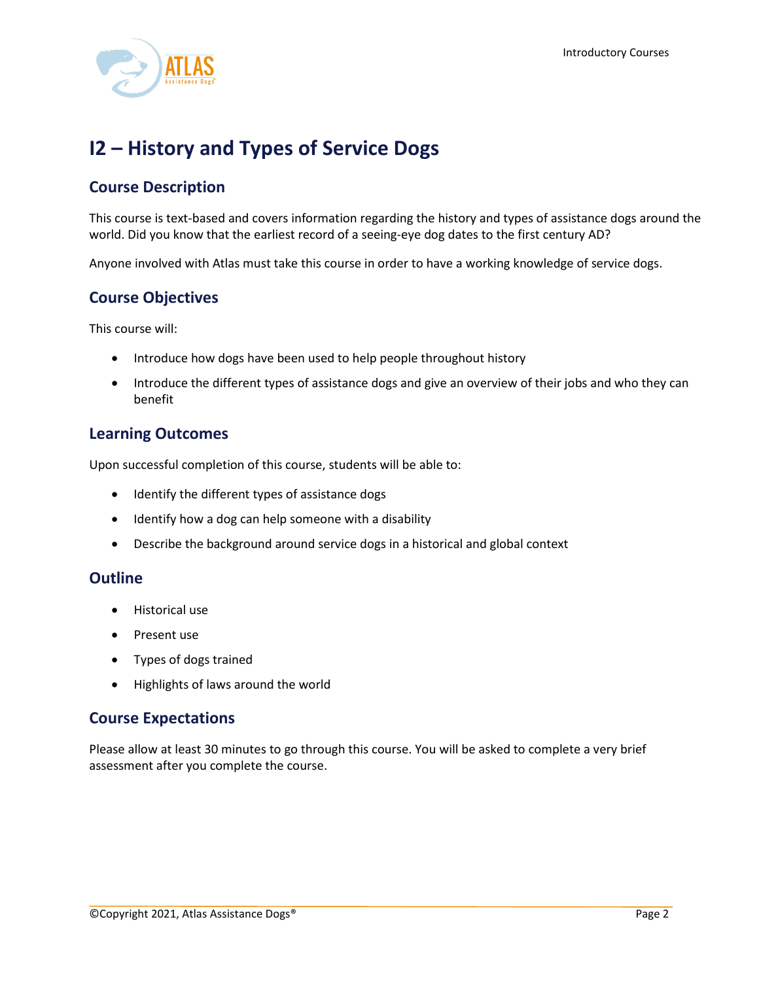

# <span id="page-2-0"></span>**I2 – History and Types of Service Dogs**

# **Course Description**

This course is text-based and covers information regarding the history and types of assistance dogs around the world. Did you know that the earliest record of a seeing-eye dog dates to the first century AD?

Anyone involved with Atlas must take this course in order to have a working knowledge of service dogs.

## **Course Objectives**

This course will:

- Introduce how dogs have been used to help people throughout history
- Introduce the different types of assistance dogs and give an overview of their jobs and who they can benefit

## **Learning Outcomes**

Upon successful completion of this course, students will be able to:

- Identify the different types of assistance dogs
- Identify how a dog can help someone with a disability
- Describe the background around service dogs in a historical and global context

#### **Outline**

- Historical use
- Present use
- Types of dogs trained
- Highlights of laws around the world

#### **Course Expectations**

Please allow at least 30 minutes to go through this course. You will be asked to complete a very brief assessment after you complete the course.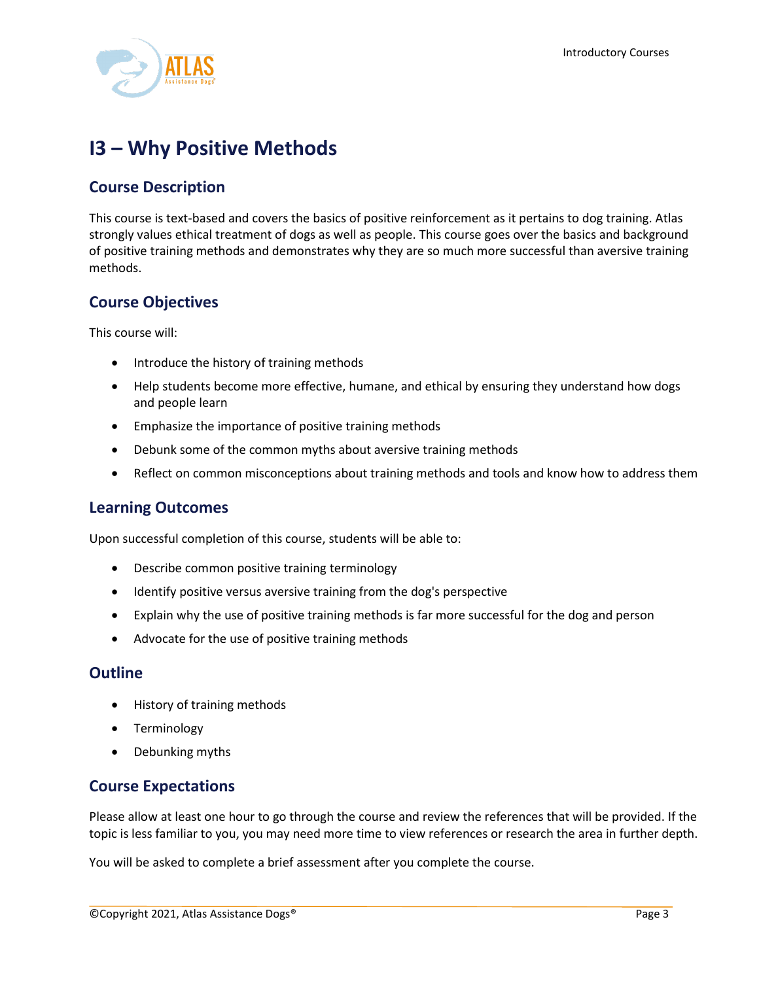

# <span id="page-3-0"></span>**I3 – Why Positive Methods**

## **Course Description**

This course is text-based and covers the basics of positive reinforcement as it pertains to dog training. Atlas strongly values ethical treatment of dogs as well as people. This course goes over the basics and background of positive training methods and demonstrates why they are so much more successful than aversive training methods.

## **Course Objectives**

This course will:

- Introduce the history of training methods
- Help students become more effective, humane, and ethical by ensuring they understand how dogs and people learn
- Emphasize the importance of positive training methods
- Debunk some of the common myths about aversive training methods
- Reflect on common misconceptions about training methods and tools and know how to address them

#### **Learning Outcomes**

Upon successful completion of this course, students will be able to:

- Describe common positive training terminology
- Identify positive versus aversive training from the dog's perspective
- Explain why the use of positive training methods is far more successful for the dog and person
- Advocate for the use of positive training methods

#### **Outline**

- History of training methods
- Terminology
- Debunking myths

## **Course Expectations**

Please allow at least one hour to go through the course and review the references that will be provided. If the topic is less familiar to you, you may need more time to view references or research the area in further depth.

You will be asked to complete a brief assessment after you complete the course.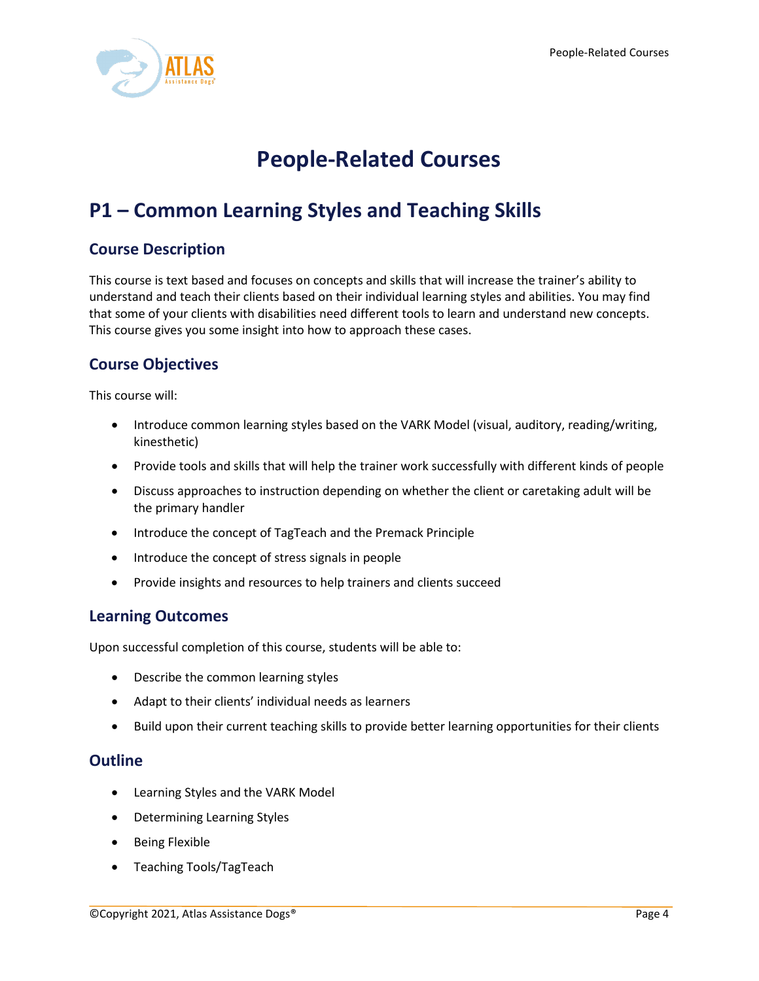

# **People-Related Courses**

# <span id="page-4-1"></span><span id="page-4-0"></span>**P1 – Common Learning Styles and Teaching Skills**

# **Course Description**

This course is text based and focuses on concepts and skills that will increase the trainer's ability to understand and teach their clients based on their individual learning styles and abilities. You may find that some of your clients with disabilities need different tools to learn and understand new concepts. This course gives you some insight into how to approach these cases.

# **Course Objectives**

This course will:

- Introduce common learning styles based on the VARK Model (visual, auditory, reading/writing, kinesthetic)
- Provide tools and skills that will help the trainer work successfully with different kinds of people
- Discuss approaches to instruction depending on whether the client or caretaking adult will be the primary handler
- Introduce the concept of TagTeach and the Premack Principle
- Introduce the concept of stress signals in people
- Provide insights and resources to help trainers and clients succeed

## **Learning Outcomes**

Upon successful completion of this course, students will be able to:

- Describe the common learning styles
- Adapt to their clients' individual needs as learners
- Build upon their current teaching skills to provide better learning opportunities for their clients

- Learning Styles and the VARK Model
- Determining Learning Styles
- Being Flexible
- Teaching Tools/TagTeach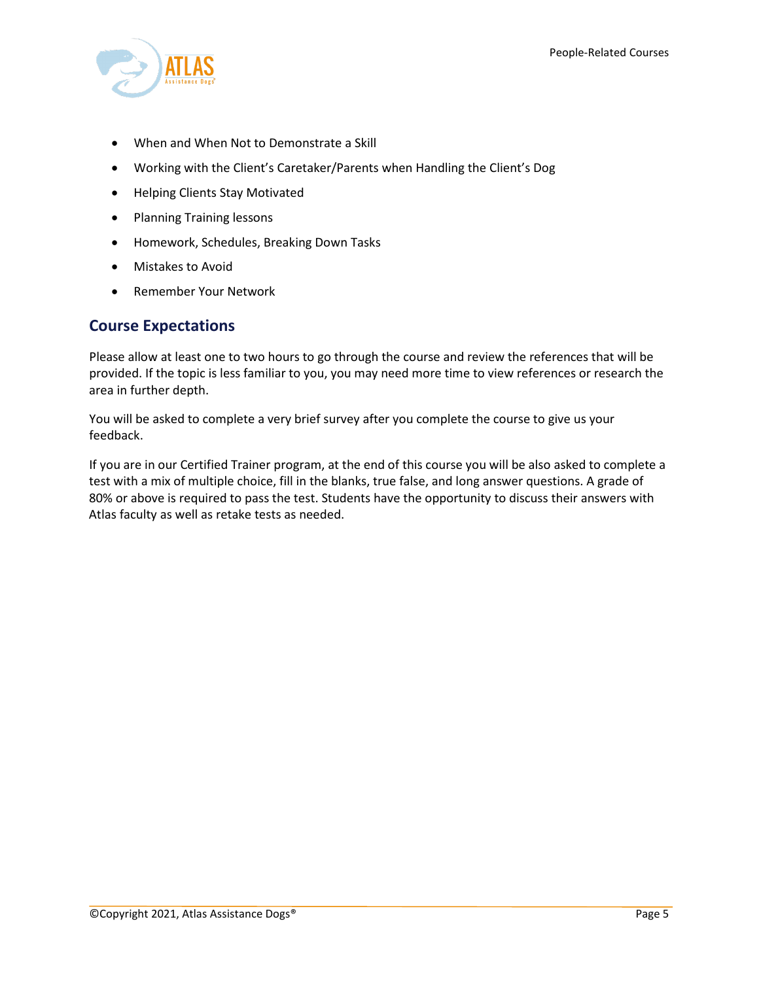

- When and When Not to Demonstrate a Skill
- Working with the Client's Caretaker/Parents when Handling the Client's Dog
- Helping Clients Stay Motivated
- Planning Training lessons
- Homework, Schedules, Breaking Down Tasks
- Mistakes to Avoid
- Remember Your Network

### **Course Expectations**

Please allow at least one to two hours to go through the course and review the references that will be provided. If the topic is less familiar to you, you may need more time to view references or research the area in further depth.

You will be asked to complete a very brief survey after you complete the course to give us your feedback.

If you are in our Certified Trainer program, at the end of this course you will be also asked to complete a test with a mix of multiple choice, fill in the blanks, true false, and long answer questions. A grade of 80% or above is required to pass the test. Students have the opportunity to discuss their answers with Atlas faculty as well as retake tests as needed.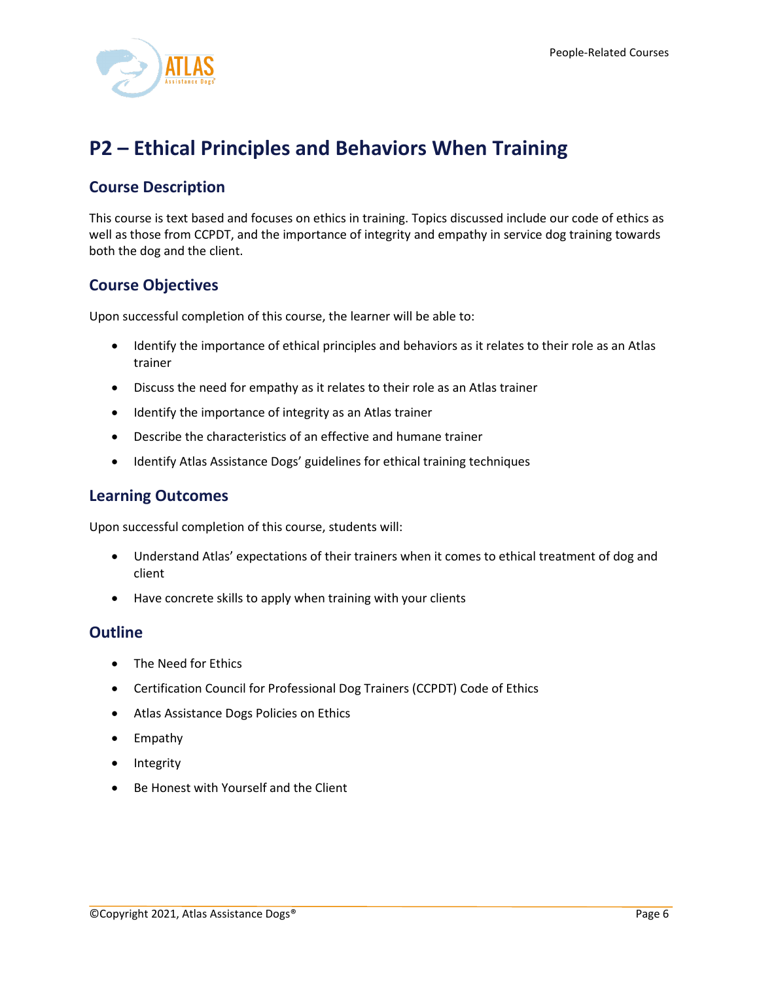

# <span id="page-6-0"></span>**P2 – Ethical Principles and Behaviors When Training**

# **Course Description**

This course is text based and focuses on ethics in training. Topics discussed include our code of ethics as well as those from CCPDT, and the importance of integrity and empathy in service dog training towards both the dog and the client.

## **Course Objectives**

Upon successful completion of this course, the learner will be able to:

- Identify the importance of ethical principles and behaviors as it relates to their role as an Atlas trainer
- Discuss the need for empathy as it relates to their role as an Atlas trainer
- Identify the importance of integrity as an Atlas trainer
- Describe the characteristics of an effective and humane trainer
- Identify Atlas Assistance Dogs' guidelines for ethical training techniques

### **Learning Outcomes**

Upon successful completion of this course, students will:

- Understand Atlas' expectations of their trainers when it comes to ethical treatment of dog and client
- Have concrete skills to apply when training with your clients

- The Need for Ethics
- Certification Council for Professional Dog Trainers (CCPDT) Code of Ethics
- Atlas Assistance Dogs Policies on Ethics
- Empathy
- Integrity
- Be Honest with Yourself and the Client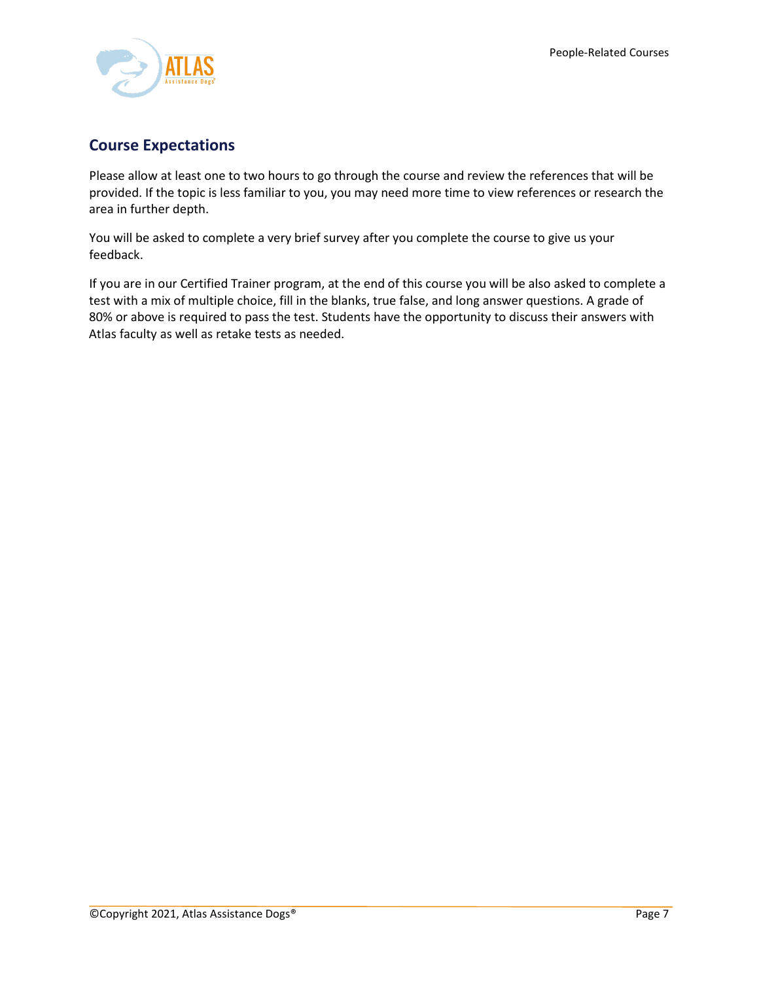

# **Course Expectations**

Please allow at least one to two hours to go through the course and review the references that will be provided. If the topic is less familiar to you, you may need more time to view references or research the area in further depth.

You will be asked to complete a very brief survey after you complete the course to give us your feedback.

If you are in our Certified Trainer program, at the end of this course you will be also asked to complete a test with a mix of multiple choice, fill in the blanks, true false, and long answer questions. A grade of 80% or above is required to pass the test. Students have the opportunity to discuss their answers with Atlas faculty as well as retake tests as needed.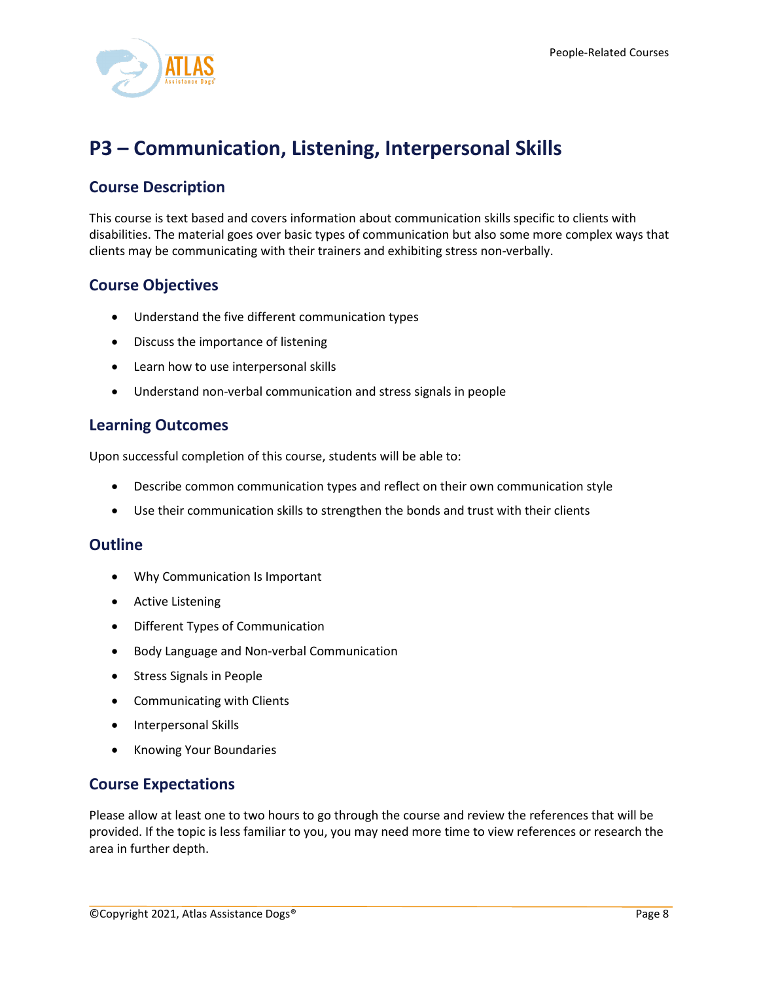

# <span id="page-8-0"></span>**P3 – Communication, Listening, Interpersonal Skills**

# **Course Description**

This course is text based and covers information about communication skills specific to clients with disabilities. The material goes over basic types of communication but also some more complex ways that clients may be communicating with their trainers and exhibiting stress non-verbally.

# **Course Objectives**

- Understand the five different communication types
- Discuss the importance of listening
- Learn how to use interpersonal skills
- Understand non-verbal communication and stress signals in people

### **Learning Outcomes**

Upon successful completion of this course, students will be able to:

- Describe common communication types and reflect on their own communication style
- Use their communication skills to strengthen the bonds and trust with their clients

#### **Outline**

- Why Communication Is Important
- Active Listening
- Different Types of Communication
- Body Language and Non-verbal Communication
- Stress Signals in People
- Communicating with Clients
- Interpersonal Skills
- Knowing Your Boundaries

#### **Course Expectations**

Please allow at least one to two hours to go through the course and review the references that will be provided. If the topic is less familiar to you, you may need more time to view references or research the area in further depth.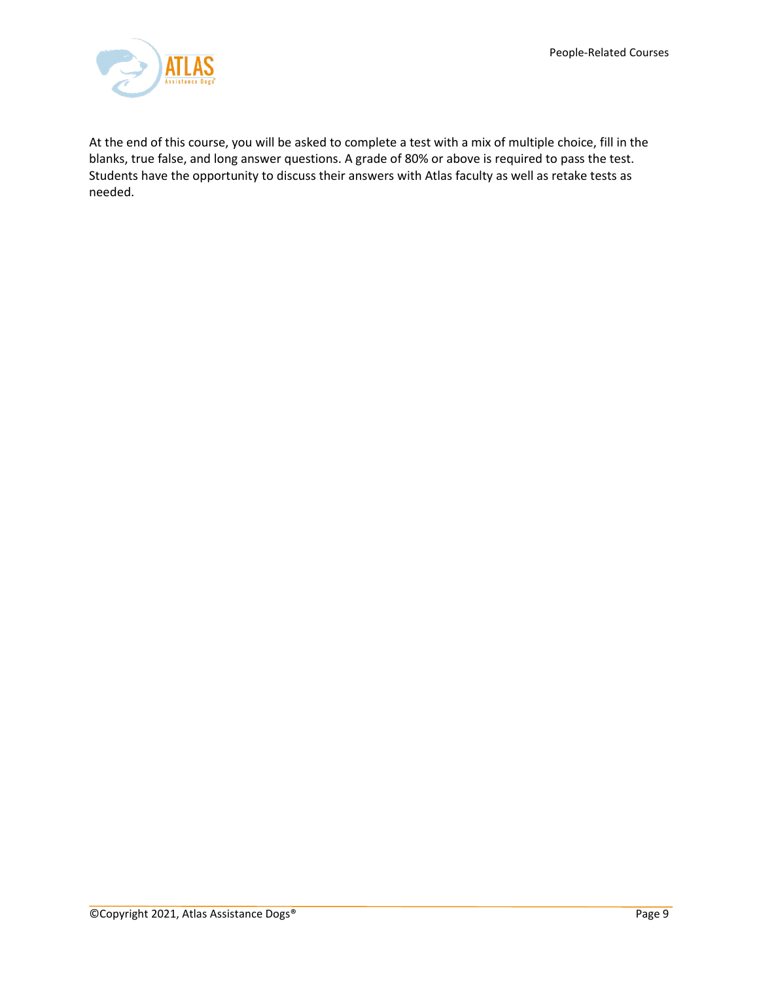

At the end of this course, you will be asked to complete a test with a mix of multiple choice, fill in the blanks, true false, and long answer questions. A grade of 80% or above is required to pass the test. Students have the opportunity to discuss their answers with Atlas faculty as well as retake tests as needed.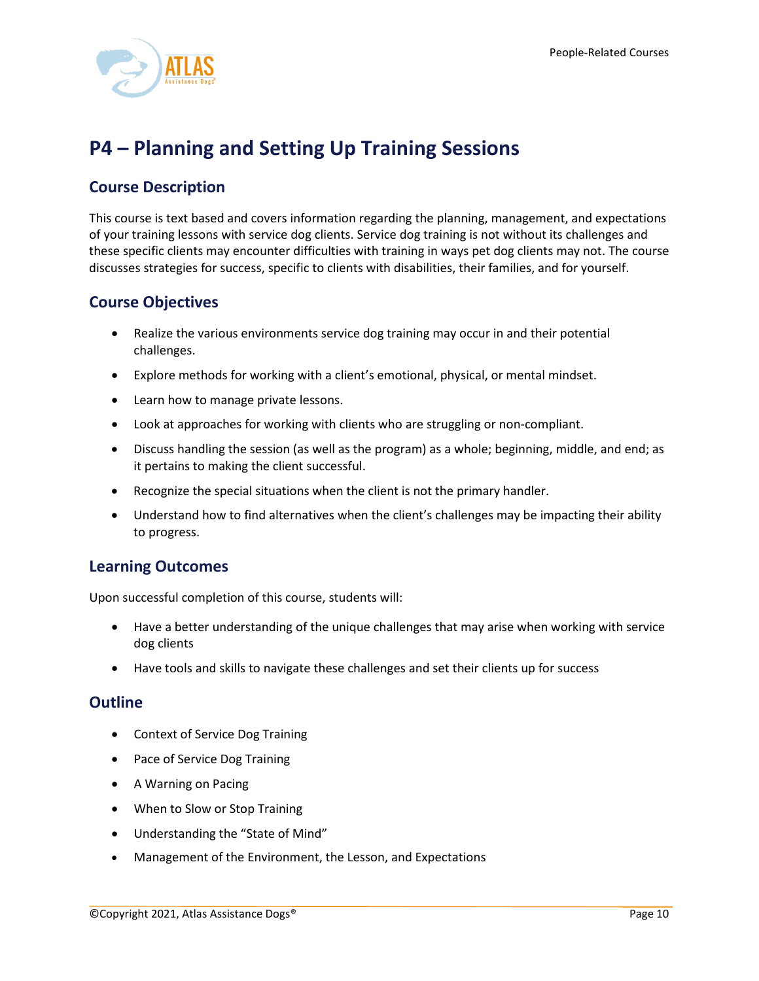

# <span id="page-10-0"></span>**P4 – Planning and Setting Up Training Sessions**

# **Course Description**

This course is text based and covers information regarding the planning, management, and expectations of your training lessons with service dog clients. Service dog training is not without its challenges and these specific clients may encounter difficulties with training in ways pet dog clients may not. The course discusses strategies for success, specific to clients with disabilities, their families, and for yourself.

## **Course Objectives**

- Realize the various environments service dog training may occur in and their potential challenges.
- Explore methods for working with a client's emotional, physical, or mental mindset.
- Learn how to manage private lessons.
- Look at approaches for working with clients who are struggling or non-compliant.
- Discuss handling the session (as well as the program) as a whole; beginning, middle, and end; as it pertains to making the client successful.
- Recognize the special situations when the client is not the primary handler.
- Understand how to find alternatives when the client's challenges may be impacting their ability to progress.

## **Learning Outcomes**

Upon successful completion of this course, students will:

- Have a better understanding of the unique challenges that may arise when working with service dog clients
- Have tools and skills to navigate these challenges and set their clients up for success

- Context of Service Dog Training
- Pace of Service Dog Training
- A Warning on Pacing
- When to Slow or Stop Training
- Understanding the "State of Mind"
- Management of the Environment, the Lesson, and Expectations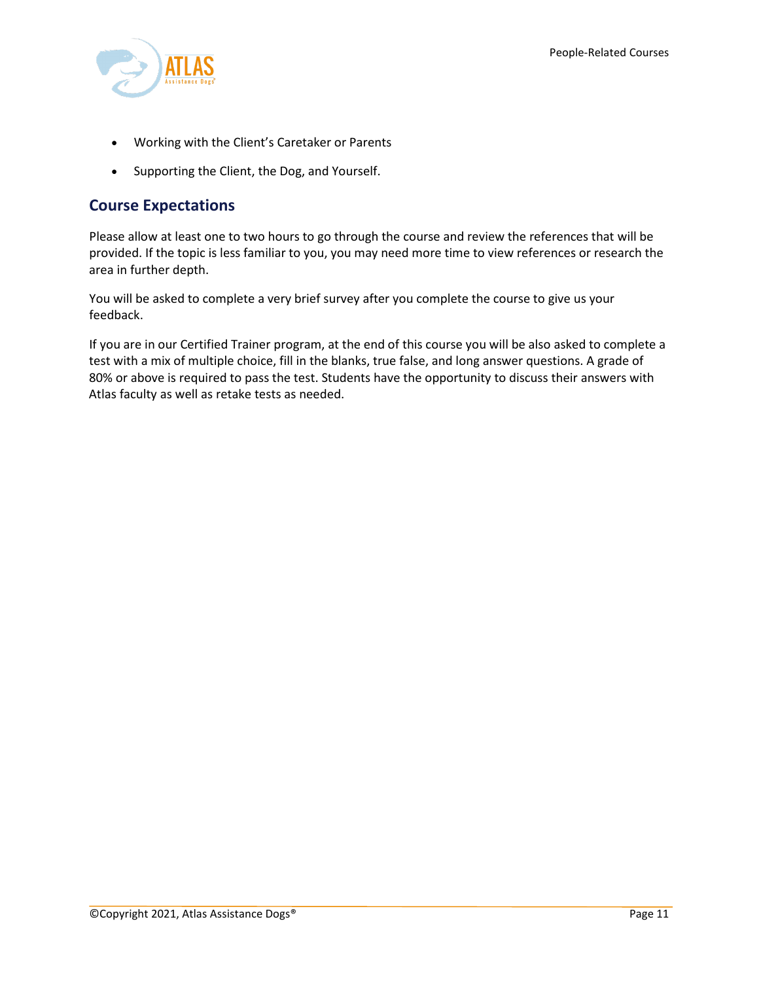

- Working with the Client's Caretaker or Parents
- Supporting the Client, the Dog, and Yourself.

## **Course Expectations**

Please allow at least one to two hours to go through the course and review the references that will be provided. If the topic is less familiar to you, you may need more time to view references or research the area in further depth.

You will be asked to complete a very brief survey after you complete the course to give us your feedback.

If you are in our Certified Trainer program, at the end of this course you will be also asked to complete a test with a mix of multiple choice, fill in the blanks, true false, and long answer questions. A grade of 80% or above is required to pass the test. Students have the opportunity to discuss their answers with Atlas faculty as well as retake tests as needed.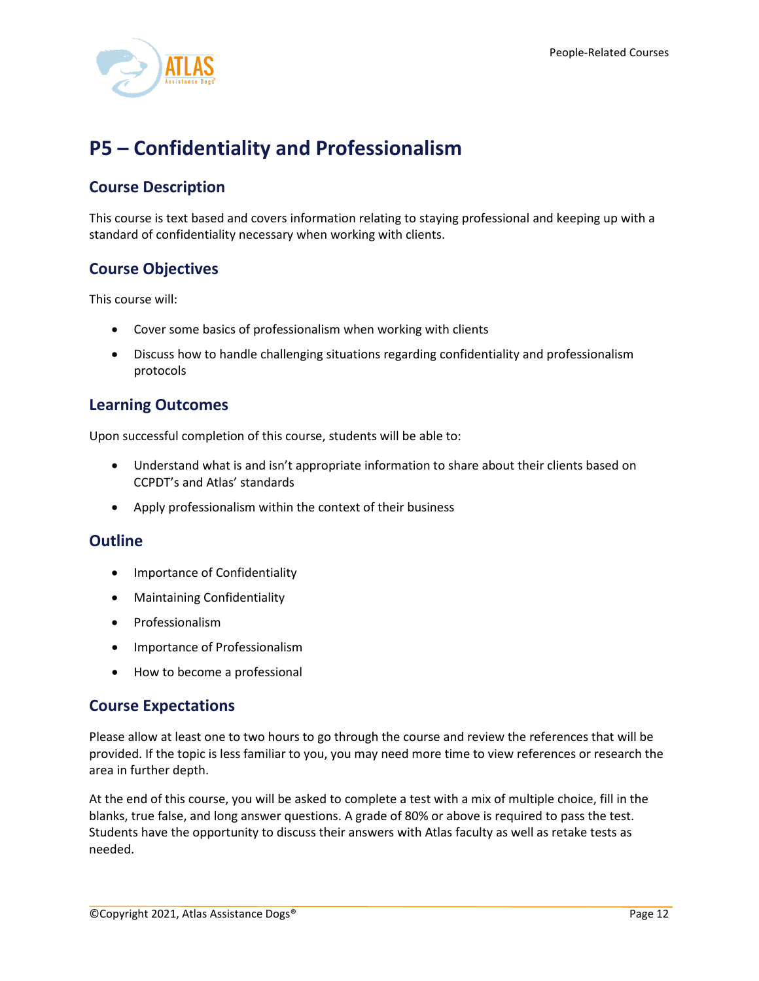

# <span id="page-12-0"></span>**P5 – Confidentiality and Professionalism**

# **Course Description**

This course is text based and covers information relating to staying professional and keeping up with a standard of confidentiality necessary when working with clients.

# **Course Objectives**

This course will:

- Cover some basics of professionalism when working with clients
- Discuss how to handle challenging situations regarding confidentiality and professionalism protocols

## **Learning Outcomes**

Upon successful completion of this course, students will be able to:

- Understand what is and isn't appropriate information to share about their clients based on CCPDT's and Atlas' standards
- Apply professionalism within the context of their business

#### **Outline**

- Importance of Confidentiality
- Maintaining Confidentiality
- Professionalism
- Importance of Professionalism
- How to become a professional

## **Course Expectations**

Please allow at least one to two hours to go through the course and review the references that will be provided. If the topic is less familiar to you, you may need more time to view references or research the area in further depth.

At the end of this course, you will be asked to complete a test with a mix of multiple choice, fill in the blanks, true false, and long answer questions. A grade of 80% or above is required to pass the test. Students have the opportunity to discuss their answers with Atlas faculty as well as retake tests as needed.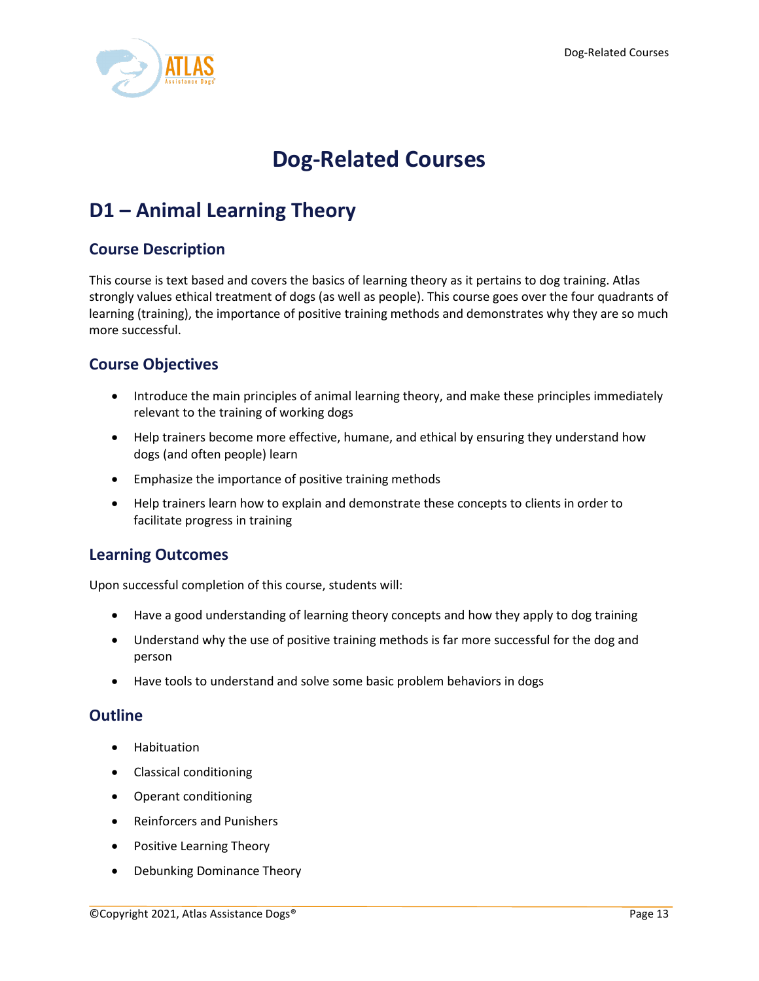

# **Dog-Related Courses**

# <span id="page-13-1"></span><span id="page-13-0"></span>**D1 – Animal Learning Theory**

## **Course Description**

This course is text based and covers the basics of learning theory as it pertains to dog training. Atlas strongly values ethical treatment of dogs (as well as people). This course goes over the four quadrants of learning (training), the importance of positive training methods and demonstrates why they are so much more successful.

## **Course Objectives**

- Introduce the main principles of animal learning theory, and make these principles immediately relevant to the training of working dogs
- Help trainers become more effective, humane, and ethical by ensuring they understand how dogs (and often people) learn
- Emphasize the importance of positive training methods
- Help trainers learn how to explain and demonstrate these concepts to clients in order to facilitate progress in training

## **Learning Outcomes**

Upon successful completion of this course, students will:

- Have a good understanding of learning theory concepts and how they apply to dog training
- Understand why the use of positive training methods is far more successful for the dog and person
- Have tools to understand and solve some basic problem behaviors in dogs

- Habituation
- Classical conditioning
- Operant conditioning
- Reinforcers and Punishers
- Positive Learning Theory
- Debunking Dominance Theory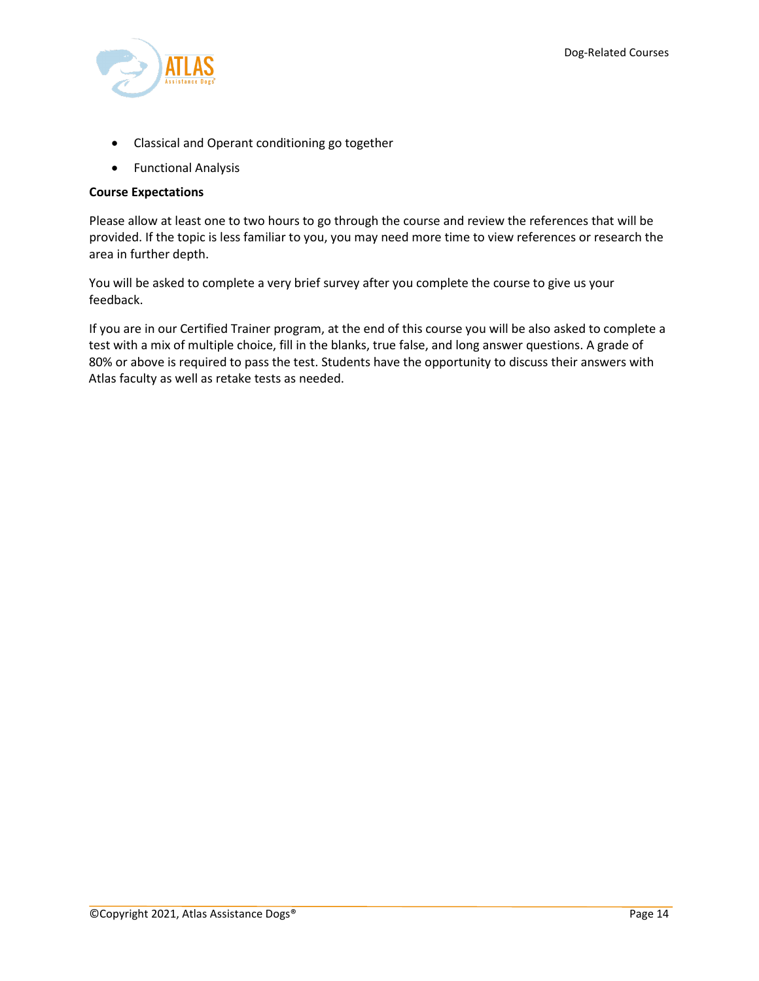

- Classical and Operant conditioning go together
- Functional Analysis

#### **Course Expectations**

Please allow at least one to two hours to go through the course and review the references that will be provided. If the topic is less familiar to you, you may need more time to view references or research the area in further depth.

You will be asked to complete a very brief survey after you complete the course to give us your feedback.

If you are in our Certified Trainer program, at the end of this course you will be also asked to complete a test with a mix of multiple choice, fill in the blanks, true false, and long answer questions. A grade of 80% or above is required to pass the test. Students have the opportunity to discuss their answers with Atlas faculty as well as retake tests as needed.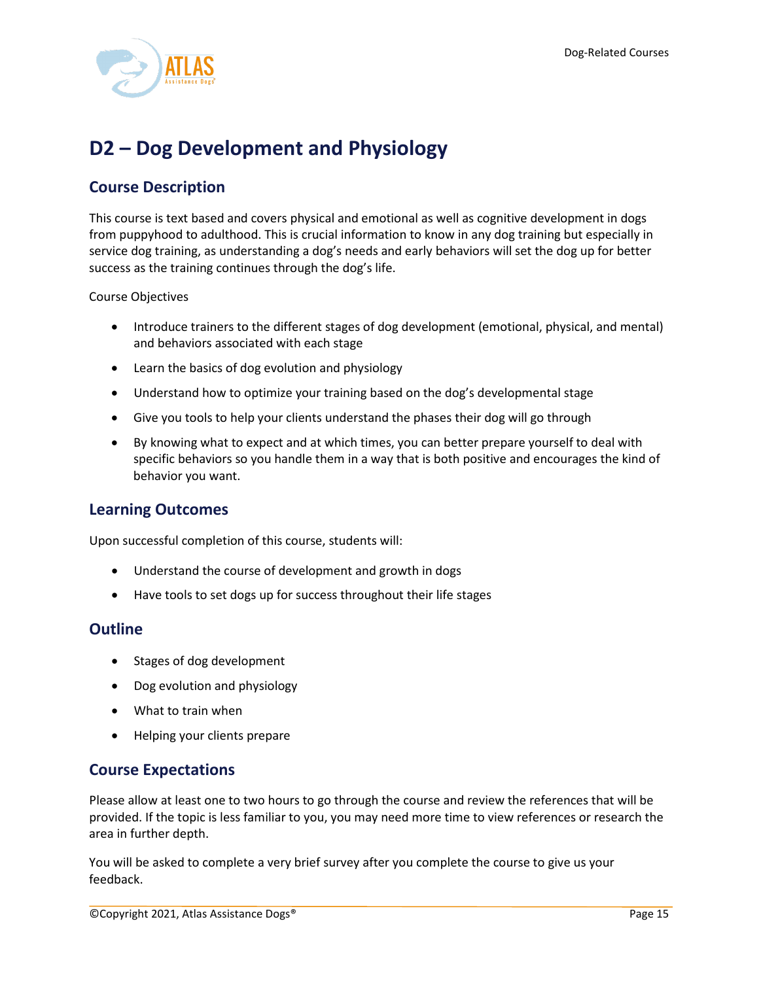

# <span id="page-15-0"></span>**D2 – Dog Development and Physiology**

# **Course Description**

This course is text based and covers physical and emotional as well as cognitive development in dogs from puppyhood to adulthood. This is crucial information to know in any dog training but especially in service dog training, as understanding a dog's needs and early behaviors will set the dog up for better success as the training continues through the dog's life.

Course Objectives

- Introduce trainers to the different stages of dog development (emotional, physical, and mental) and behaviors associated with each stage
- Learn the basics of dog evolution and physiology
- Understand how to optimize your training based on the dog's developmental stage
- Give you tools to help your clients understand the phases their dog will go through
- By knowing what to expect and at which times, you can better prepare yourself to deal with specific behaviors so you handle them in a way that is both positive and encourages the kind of behavior you want.

#### **Learning Outcomes**

Upon successful completion of this course, students will:

- Understand the course of development and growth in dogs
- Have tools to set dogs up for success throughout their life stages

#### **Outline**

- Stages of dog development
- Dog evolution and physiology
- What to train when
- Helping your clients prepare

## **Course Expectations**

Please allow at least one to two hours to go through the course and review the references that will be provided. If the topic is less familiar to you, you may need more time to view references or research the area in further depth.

You will be asked to complete a very brief survey after you complete the course to give us your feedback.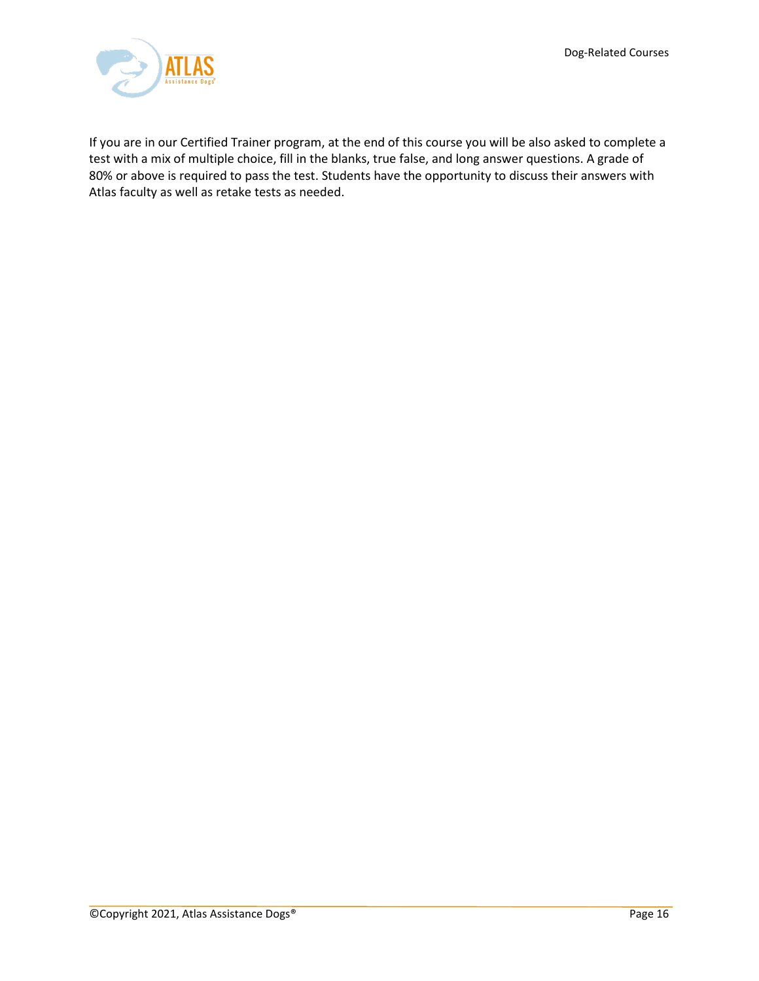

If you are in our Certified Trainer program, at the end of this course you will be also asked to complete a test with a mix of multiple choice, fill in the blanks, true false, and long answer questions. A grade of 80% or above is required to pass the test. Students have the opportunity to discuss their answers with Atlas faculty as well as retake tests as needed.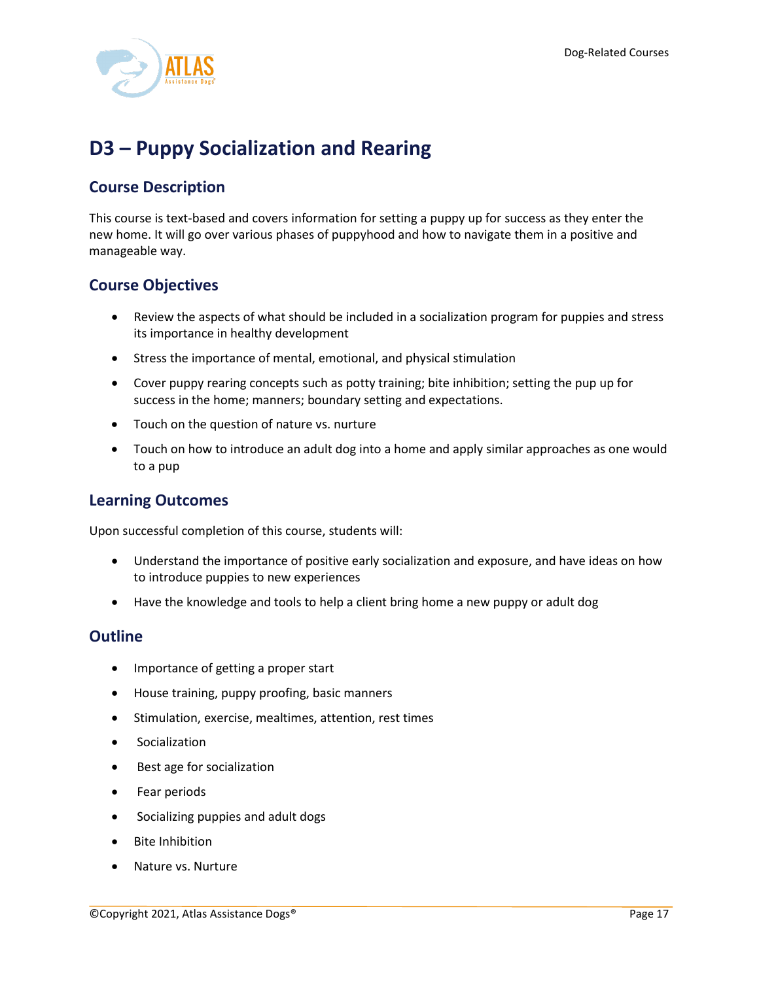

# <span id="page-17-0"></span>**D3 – Puppy Socialization and Rearing**

## **Course Description**

This course is text-based and covers information for setting a puppy up for success as they enter the new home. It will go over various phases of puppyhood and how to navigate them in a positive and manageable way.

## **Course Objectives**

- Review the aspects of what should be included in a socialization program for puppies and stress its importance in healthy development
- Stress the importance of mental, emotional, and physical stimulation
- Cover puppy rearing concepts such as potty training; bite inhibition; setting the pup up for success in the home; manners; boundary setting and expectations.
- Touch on the question of nature vs. nurture
- Touch on how to introduce an adult dog into a home and apply similar approaches as one would to a pup

## **Learning Outcomes**

Upon successful completion of this course, students will:

- Understand the importance of positive early socialization and exposure, and have ideas on how to introduce puppies to new experiences
- Have the knowledge and tools to help a client bring home a new puppy or adult dog

- Importance of getting a proper start
- House training, puppy proofing, basic manners
- Stimulation, exercise, mealtimes, attention, rest times
- Socialization
- Best age for socialization
- Fear periods
- Socializing puppies and adult dogs
- Bite Inhibition
- Nature vs. Nurture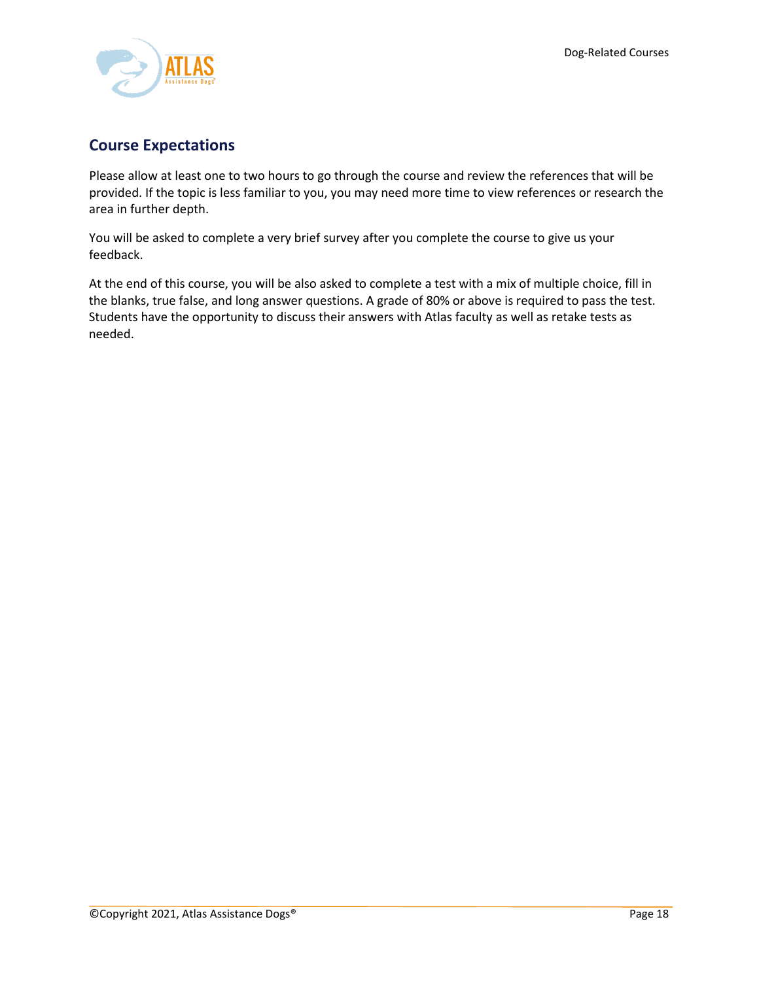

# **Course Expectations**

Please allow at least one to two hours to go through the course and review the references that will be provided. If the topic is less familiar to you, you may need more time to view references or research the area in further depth.

You will be asked to complete a very brief survey after you complete the course to give us your feedback.

At the end of this course, you will be also asked to complete a test with a mix of multiple choice, fill in the blanks, true false, and long answer questions. A grade of 80% or above is required to pass the test. Students have the opportunity to discuss their answers with Atlas faculty as well as retake tests as needed.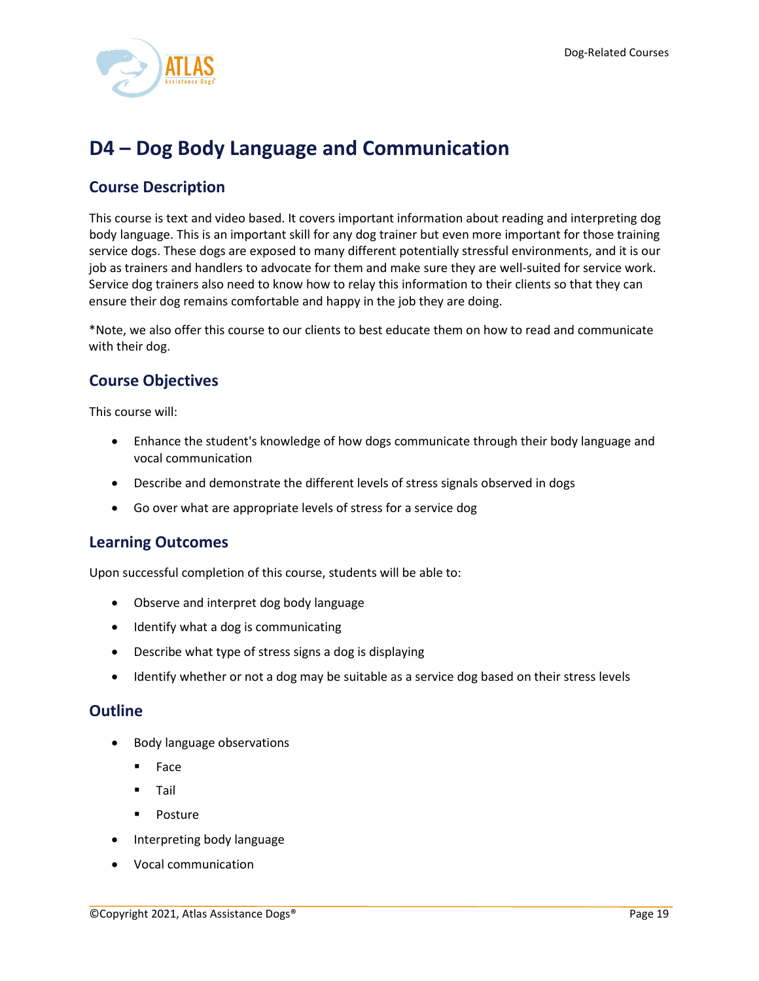

# <span id="page-19-0"></span>**D4 – Dog Body Language and Communication**

## **Course Description**

This course is text and video based. It covers important information about reading and interpreting dog body language. This is an important skill for any dog trainer but even more important for those training service dogs. These dogs are exposed to many different potentially stressful environments, and it is our job as trainers and handlers to advocate for them and make sure they are well-suited for service work. Service dog trainers also need to know how to relay this information to their clients so that they can ensure their dog remains comfortable and happy in the job they are doing.

\*Note, we also offer this course to our clients to best educate them on how to read and communicate with their dog.

## **Course Objectives**

This course will:

- Enhance the student's knowledge of how dogs communicate through their body language and vocal communication
- Describe and demonstrate the different levels of stress signals observed in dogs
- Go over what are appropriate levels of stress for a service dog

#### **Learning Outcomes**

Upon successful completion of this course, students will be able to:

- Observe and interpret dog body language
- Identify what a dog is communicating
- Describe what type of stress signs a dog is displaying
- Identify whether or not a dog may be suitable as a service dog based on their stress levels

- Body language observations
	- **Face**
	- **Tail**
	- Posture
- Interpreting body language
- Vocal communication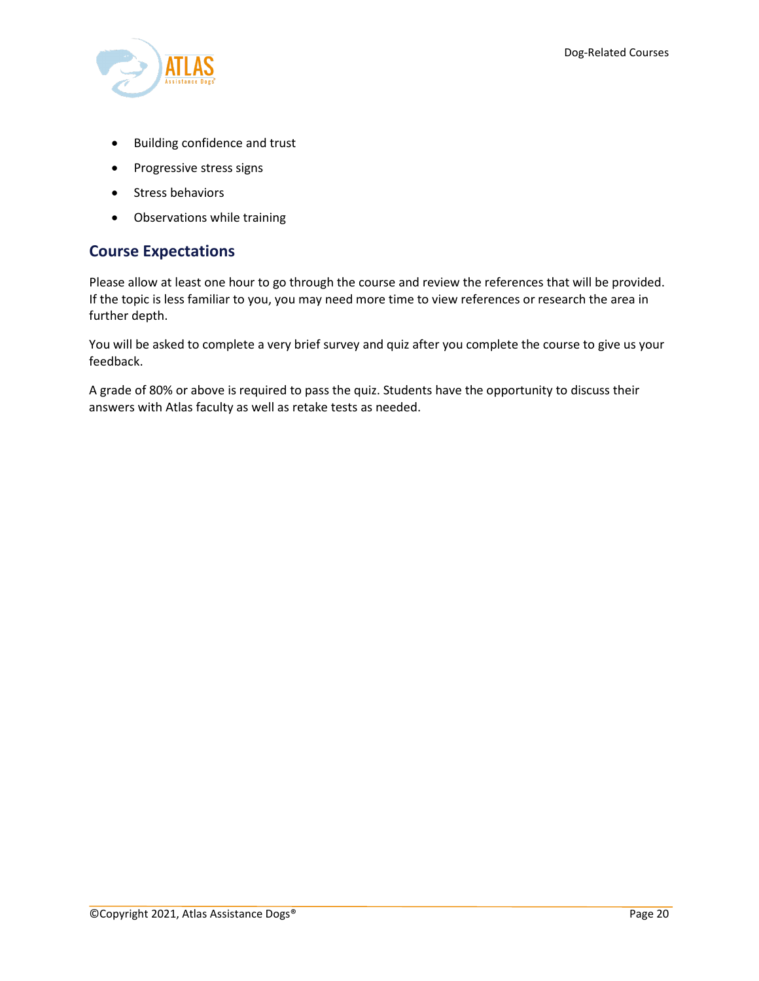

- Building confidence and trust
- Progressive stress signs
- Stress behaviors
- Observations while training

## **Course Expectations**

Please allow at least one hour to go through the course and review the references that will be provided. If the topic is less familiar to you, you may need more time to view references or research the area in further depth.

You will be asked to complete a very brief survey and quiz after you complete the course to give us your feedback.

A grade of 80% or above is required to pass the quiz. Students have the opportunity to discuss their answers with Atlas faculty as well as retake tests as needed.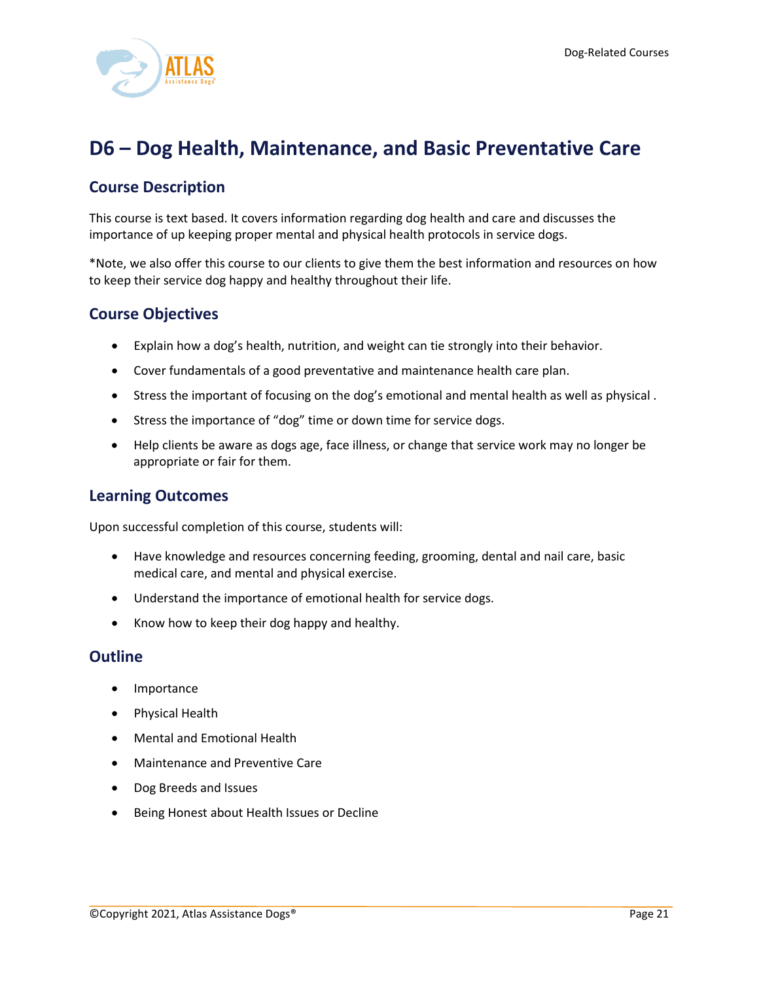

# <span id="page-21-0"></span>**D6 – Dog Health, Maintenance, and Basic Preventative Care**

## **Course Description**

This course is text based. It covers information regarding dog health and care and discusses the importance of up keeping proper mental and physical health protocols in service dogs.

\*Note, we also offer this course to our clients to give them the best information and resources on how to keep their service dog happy and healthy throughout their life.

### **Course Objectives**

- Explain how a dog's health, nutrition, and weight can tie strongly into their behavior.
- Cover fundamentals of a good preventative and maintenance health care plan.
- Stress the important of focusing on the dog's emotional and mental health as well as physical .
- Stress the importance of "dog" time or down time for service dogs.
- Help clients be aware as dogs age, face illness, or change that service work may no longer be appropriate or fair for them.

### **Learning Outcomes**

Upon successful completion of this course, students will:

- Have knowledge and resources concerning feeding, grooming, dental and nail care, basic medical care, and mental and physical exercise.
- Understand the importance of emotional health for service dogs.
- Know how to keep their dog happy and healthy.

- Importance
- Physical Health
- Mental and Emotional Health
- Maintenance and Preventive Care
- Dog Breeds and Issues
- Being Honest about Health Issues or Decline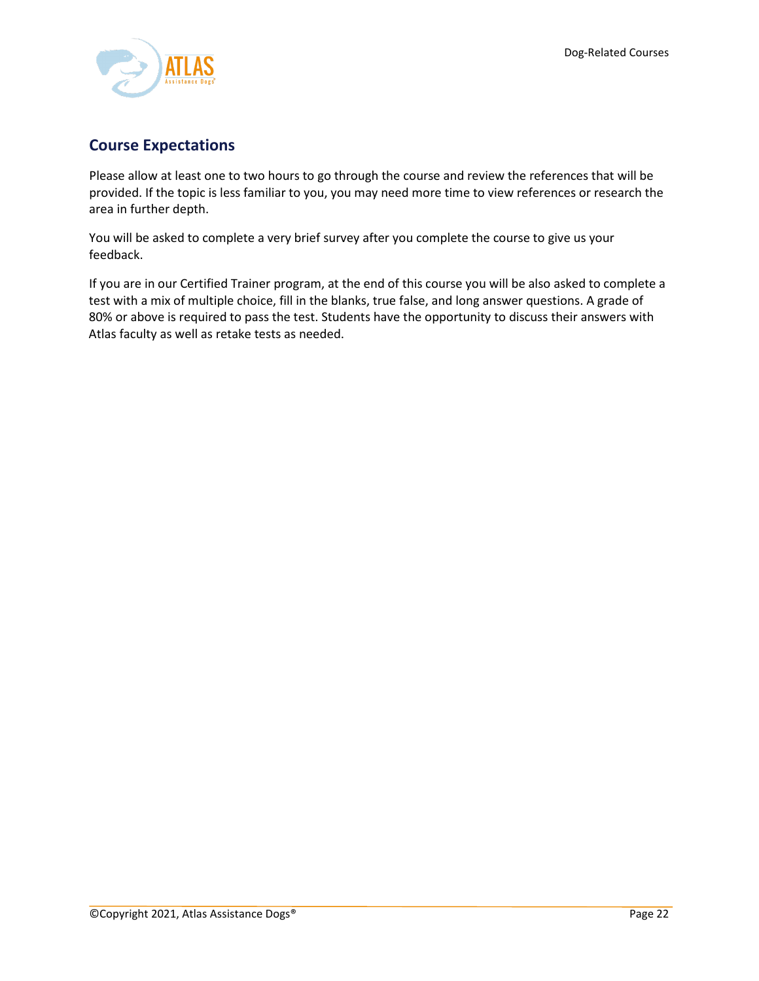

# **Course Expectations**

Please allow at least one to two hours to go through the course and review the references that will be provided. If the topic is less familiar to you, you may need more time to view references or research the area in further depth.

You will be asked to complete a very brief survey after you complete the course to give us your feedback.

If you are in our Certified Trainer program, at the end of this course you will be also asked to complete a test with a mix of multiple choice, fill in the blanks, true false, and long answer questions. A grade of 80% or above is required to pass the test. Students have the opportunity to discuss their answers with Atlas faculty as well as retake tests as needed.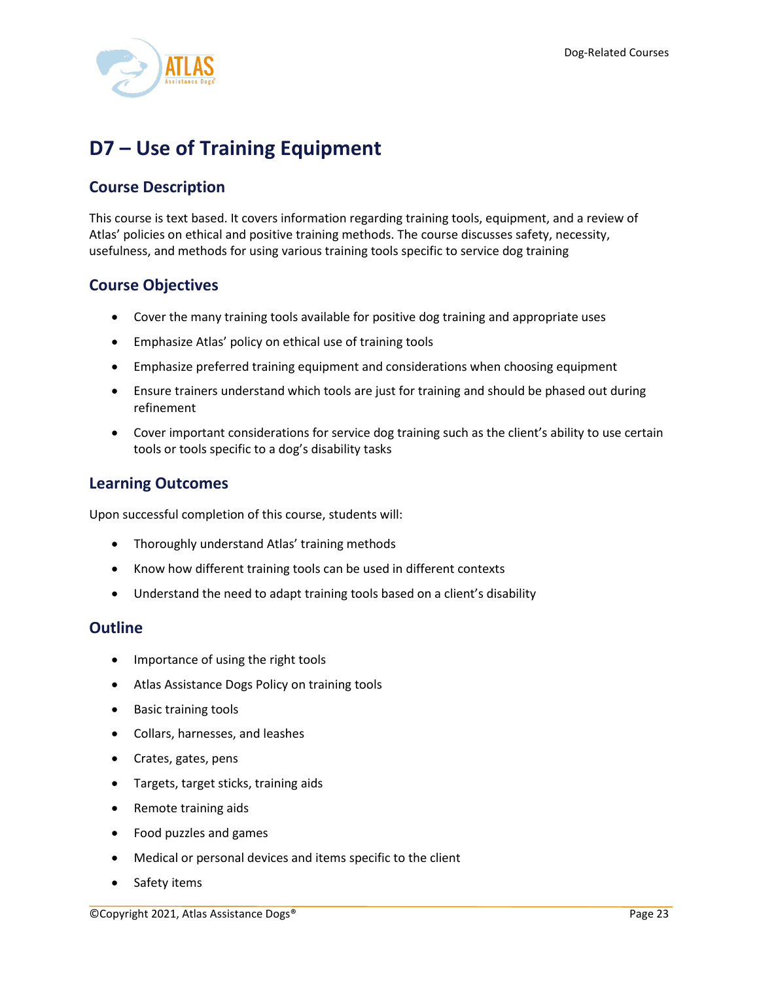

# <span id="page-23-0"></span>**D7 – Use of Training Equipment**

# **Course Description**

This course is text based. It covers information regarding training tools, equipment, and a review of Atlas' policies on ethical and positive training methods. The course discusses safety, necessity, usefulness, and methods for using various training tools specific to service dog training

## **Course Objectives**

- Cover the many training tools available for positive dog training and appropriate uses
- Emphasize Atlas' policy on ethical use of training tools
- Emphasize preferred training equipment and considerations when choosing equipment
- Ensure trainers understand which tools are just for training and should be phased out during refinement
- Cover important considerations for service dog training such as the client's ability to use certain tools or tools specific to a dog's disability tasks

## **Learning Outcomes**

Upon successful completion of this course, students will:

- Thoroughly understand Atlas' training methods
- Know how different training tools can be used in different contexts
- Understand the need to adapt training tools based on a client's disability

- Importance of using the right tools
- Atlas Assistance Dogs Policy on training tools
- Basic training tools
- Collars, harnesses, and leashes
- Crates, gates, pens
- Targets, target sticks, training aids
- Remote training aids
- Food puzzles and games
- Medical or personal devices and items specific to the client
- Safety items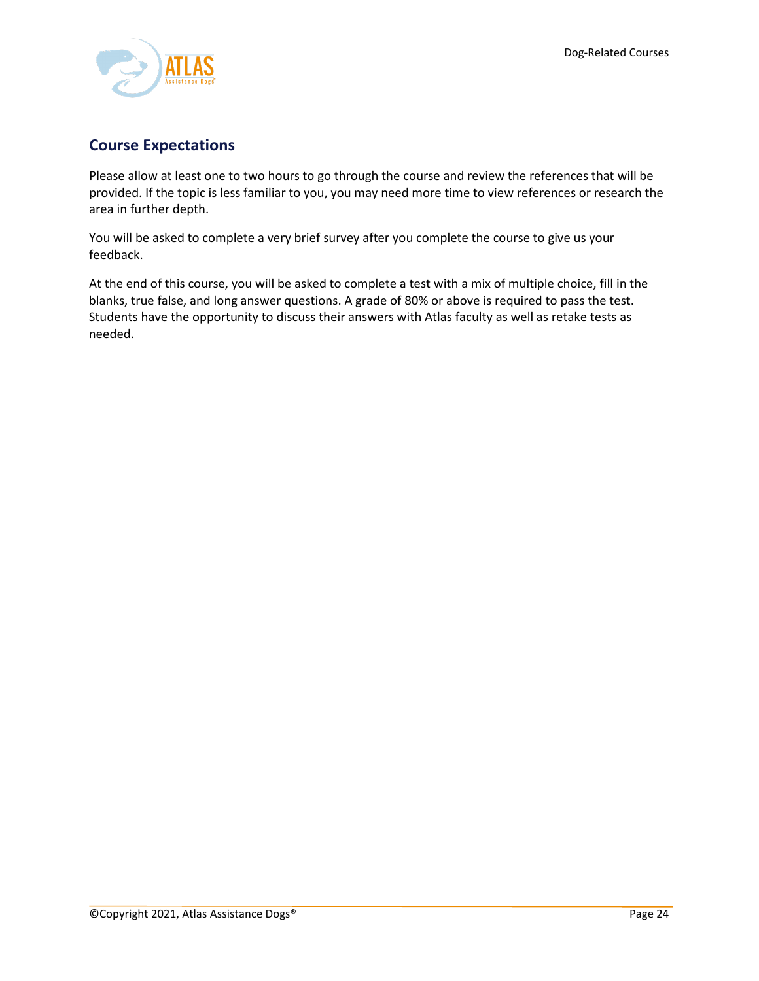

# **Course Expectations**

Please allow at least one to two hours to go through the course and review the references that will be provided. If the topic is less familiar to you, you may need more time to view references or research the area in further depth.

You will be asked to complete a very brief survey after you complete the course to give us your feedback.

At the end of this course, you will be asked to complete a test with a mix of multiple choice, fill in the blanks, true false, and long answer questions. A grade of 80% or above is required to pass the test. Students have the opportunity to discuss their answers with Atlas faculty as well as retake tests as needed.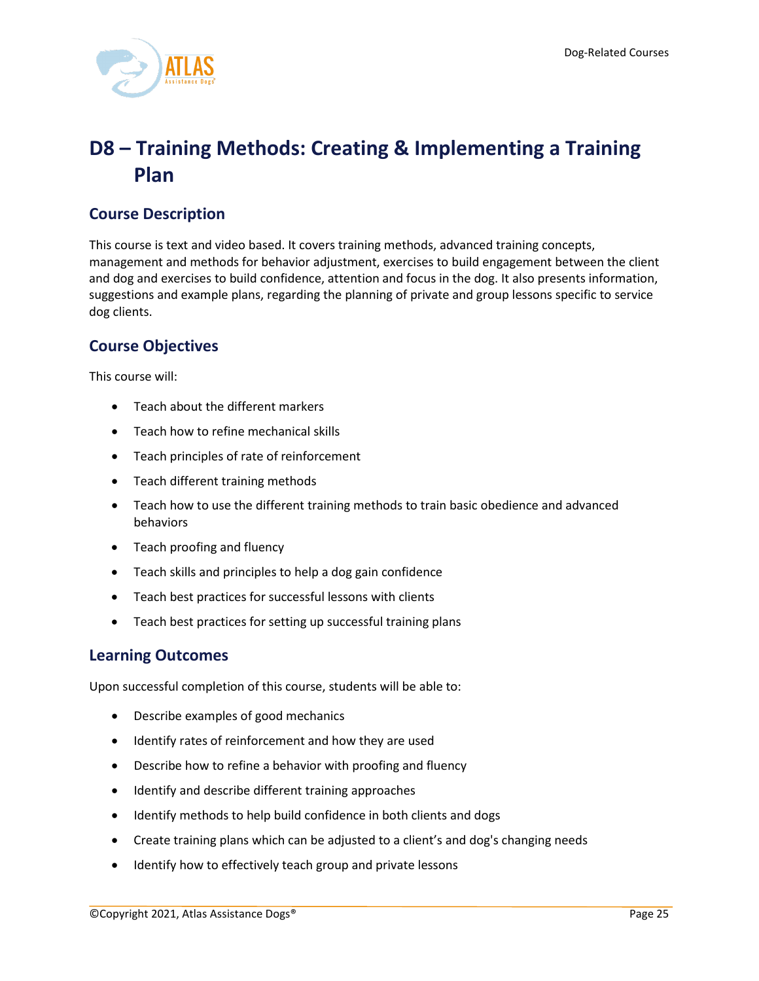

# <span id="page-25-0"></span>**D8 – Training Methods: Creating & Implementing a Training Plan**

# **Course Description**

This course is text and video based. It covers training methods, advanced training concepts, management and methods for behavior adjustment, exercises to build engagement between the client and dog and exercises to build confidence, attention and focus in the dog. It also presents information, suggestions and example plans, regarding the planning of private and group lessons specific to service dog clients.

# **Course Objectives**

This course will:

- Teach about the different markers
- Teach how to refine mechanical skills
- Teach principles of rate of reinforcement
- Teach different training methods
- Teach how to use the different training methods to train basic obedience and advanced behaviors
- Teach proofing and fluency
- Teach skills and principles to help a dog gain confidence
- Teach best practices for successful lessons with clients
- Teach best practices for setting up successful training plans

#### **Learning Outcomes**

Upon successful completion of this course, students will be able to:

- Describe examples of good mechanics
- Identify rates of reinforcement and how they are used
- Describe how to refine a behavior with proofing and fluency
- Identify and describe different training approaches
- Identify methods to help build confidence in both clients and dogs
- Create training plans which can be adjusted to a client's and dog's changing needs
- Identify how to effectively teach group and private lessons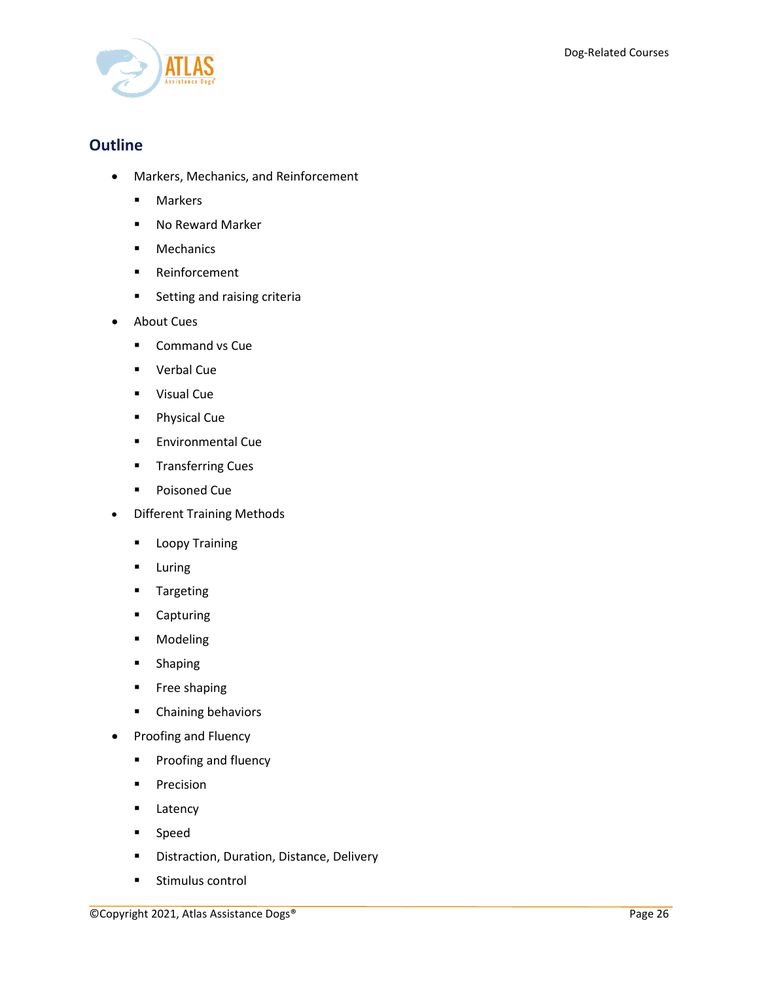

- Markers, Mechanics, and Reinforcement
	- **Markers**
	- No Reward Marker
	- **Mechanics**
	- **Reinforcement**
	- **Setting and raising criteria**
- About Cues
	- **Command vs Cue**
	- Verbal Cue
	- **visual Cue**
	- **Physical Cue**
	- **Environmental Cue**
	- **Transferring Cues**
	- **Poisoned Cue**
- Different Training Methods
	- **Loopy Training**
	- **Luring**
	- **Targeting**
	- **-** Capturing
	- **-** Modeling
	- **-** Shaping
	- **Free shaping**
	- **•** Chaining behaviors
- Proofing and Fluency
	- **Proofing and fluency**
	- **Precision**
	- **Latency**
	- **Speed**
	- **•** Distraction, Duration, Distance, Delivery
	- **Stimulus control**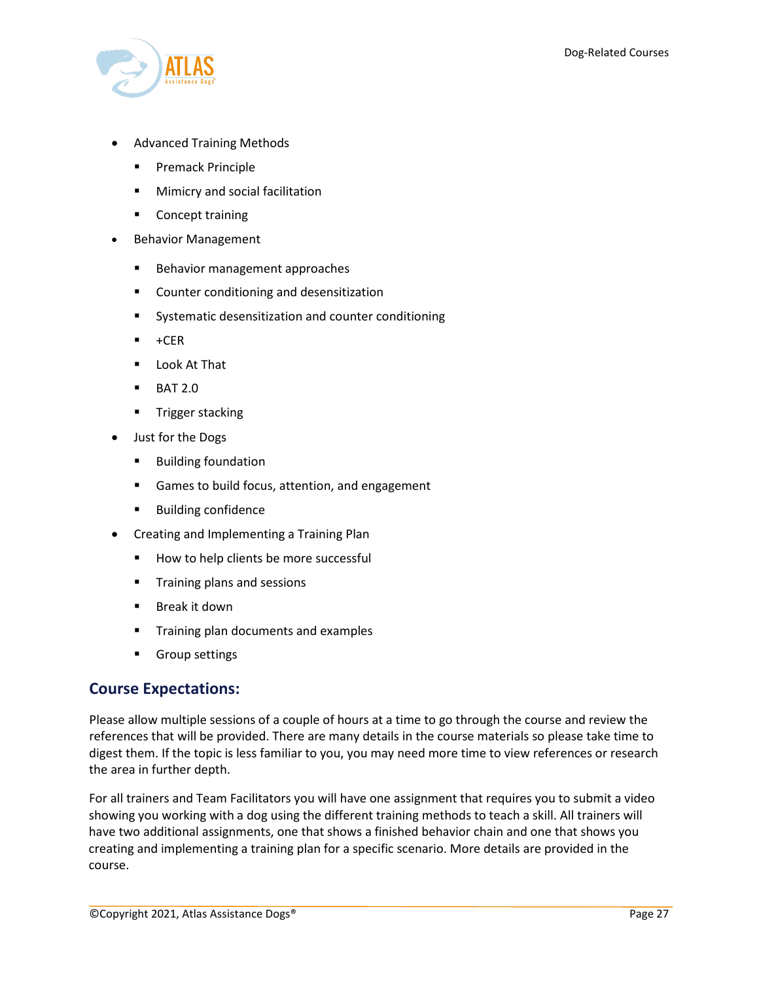

- Advanced Training Methods
	- **Premack Principle**
	- **Mimicry and social facilitation**
	- **Concept training**
- Behavior Management
	- **Behavior management approaches**
	- **EXECOUNTER CONDUCTER COUNTER 15 FOR THE COUNTER CONTROL**
	- **Systematic desensitization and counter conditioning**
	- $+CER$
	- Look At That
	- $-BAT 2.0$
	- **Trigger stacking**
- Just for the Dogs
	- **Building foundation**
	- Games to build focus, attention, and engagement
	- **Building confidence**
- Creating and Implementing a Training Plan
	- How to help clients be more successful
	- **Training plans and sessions**
	- **Break it down**
	- **Training plan documents and examples**
	- **Group settings**

#### **Course Expectations:**

Please allow multiple sessions of a couple of hours at a time to go through the course and review the references that will be provided. There are many details in the course materials so please take time to digest them. If the topic is less familiar to you, you may need more time to view references or research the area in further depth.

For all trainers and Team Facilitators you will have one assignment that requires you to submit a video showing you working with a dog using the different training methods to teach a skill. All trainers will have two additional assignments, one that shows a finished behavior chain and one that shows you creating and implementing a training plan for a specific scenario. More details are provided in the course.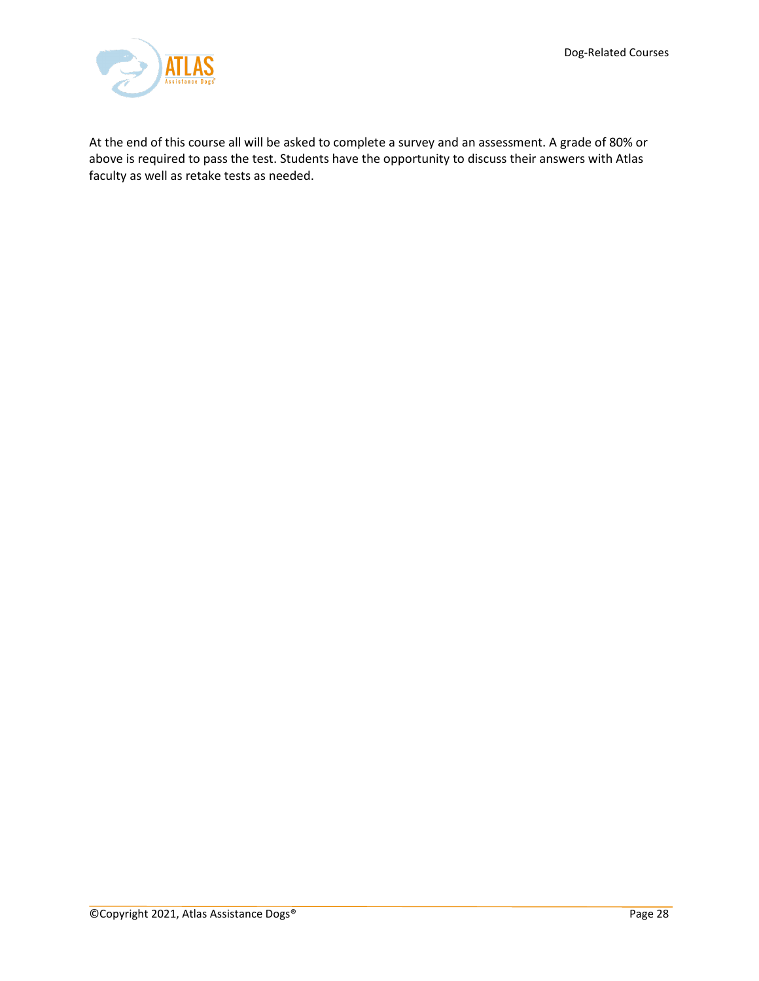

At the end of this course all will be asked to complete a survey and an assessment. A grade of 80% or above is required to pass the test. Students have the opportunity to discuss their answers with Atlas faculty as well as retake tests as needed.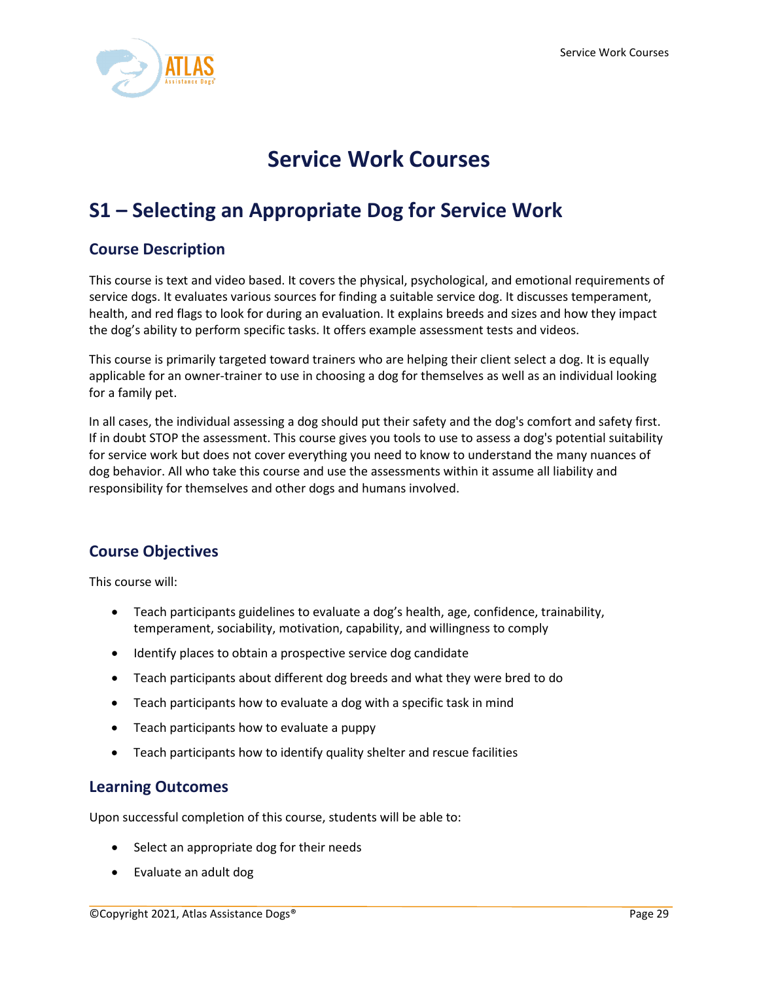

# **Service Work Courses**

# <span id="page-29-1"></span><span id="page-29-0"></span>**S1 – Selecting an Appropriate Dog for Service Work**

## **Course Description**

This course is text and video based. It covers the physical, psychological, and emotional requirements of service dogs. It evaluates various sources for finding a suitable service dog. It discusses temperament, health, and red flags to look for during an evaluation. It explains breeds and sizes and how they impact the dog's ability to perform specific tasks. It offers example assessment tests and videos.

This course is primarily targeted toward trainers who are helping their client select a dog. It is equally applicable for an owner-trainer to use in choosing a dog for themselves as well as an individual looking for a family pet.

In all cases, the individual assessing a dog should put their safety and the dog's comfort and safety first. If in doubt STOP the assessment. This course gives you tools to use to assess a dog's potential suitability for service work but does not cover everything you need to know to understand the many nuances of dog behavior. All who take this course and use the assessments within it assume all liability and responsibility for themselves and other dogs and humans involved.

# **Course Objectives**

This course will:

- Teach participants guidelines to evaluate a dog's health, age, confidence, trainability, temperament, sociability, motivation, capability, and willingness to comply
- Identify places to obtain a prospective service dog candidate
- Teach participants about different dog breeds and what they were bred to do
- Teach participants how to evaluate a dog with a specific task in mind
- Teach participants how to evaluate a puppy
- Teach participants how to identify quality shelter and rescue facilities

#### **Learning Outcomes**

Upon successful completion of this course, students will be able to:

- Select an appropriate dog for their needs
- Evaluate an adult dog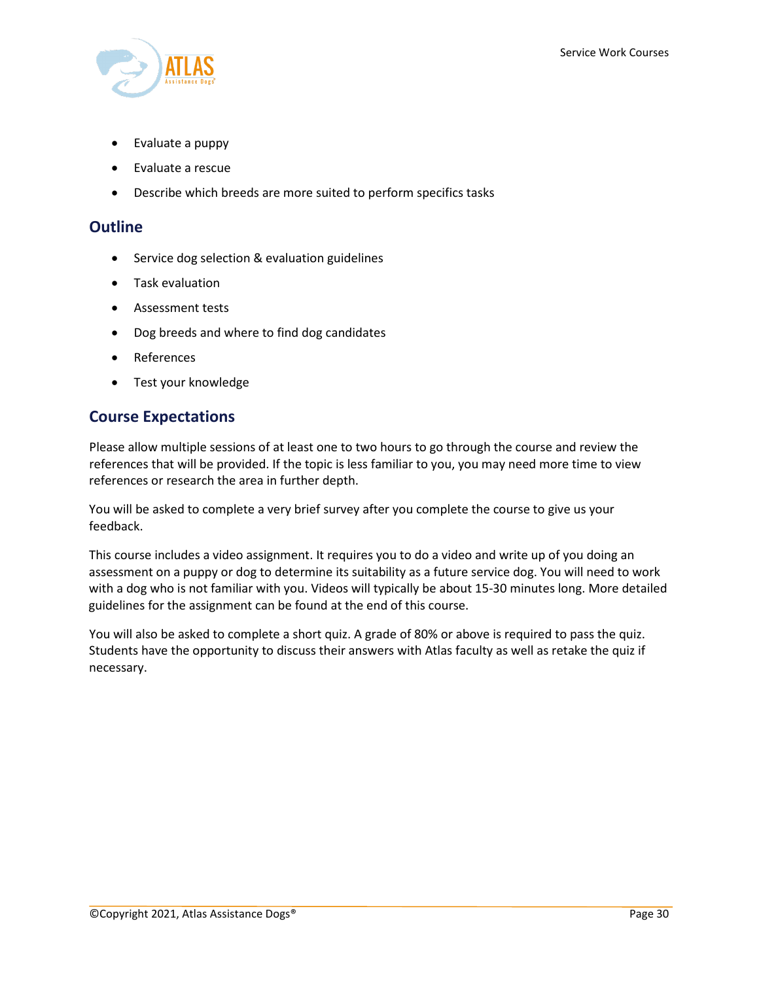

- Evaluate a puppy
- Evaluate a rescue
- Describe which breeds are more suited to perform specifics tasks

#### **Outline**

- Service dog selection & evaluation guidelines
- Task evaluation
- Assessment tests
- Dog breeds and where to find dog candidates
- References
- Test your knowledge

#### **Course Expectations**

Please allow multiple sessions of at least one to two hours to go through the course and review the references that will be provided. If the topic is less familiar to you, you may need more time to view references or research the area in further depth.

You will be asked to complete a very brief survey after you complete the course to give us your feedback.

This course includes a video assignment. It requires you to do a video and write up of you doing an assessment on a puppy or dog to determine its suitability as a future service dog. You will need to work with a dog who is not familiar with you. Videos will typically be about 15-30 minutes long. More detailed guidelines for the assignment can be found at the end of this course.

You will also be asked to complete a short quiz. A grade of 80% or above is required to pass the quiz. Students have the opportunity to discuss their answers with Atlas faculty as well as retake the quiz if necessary.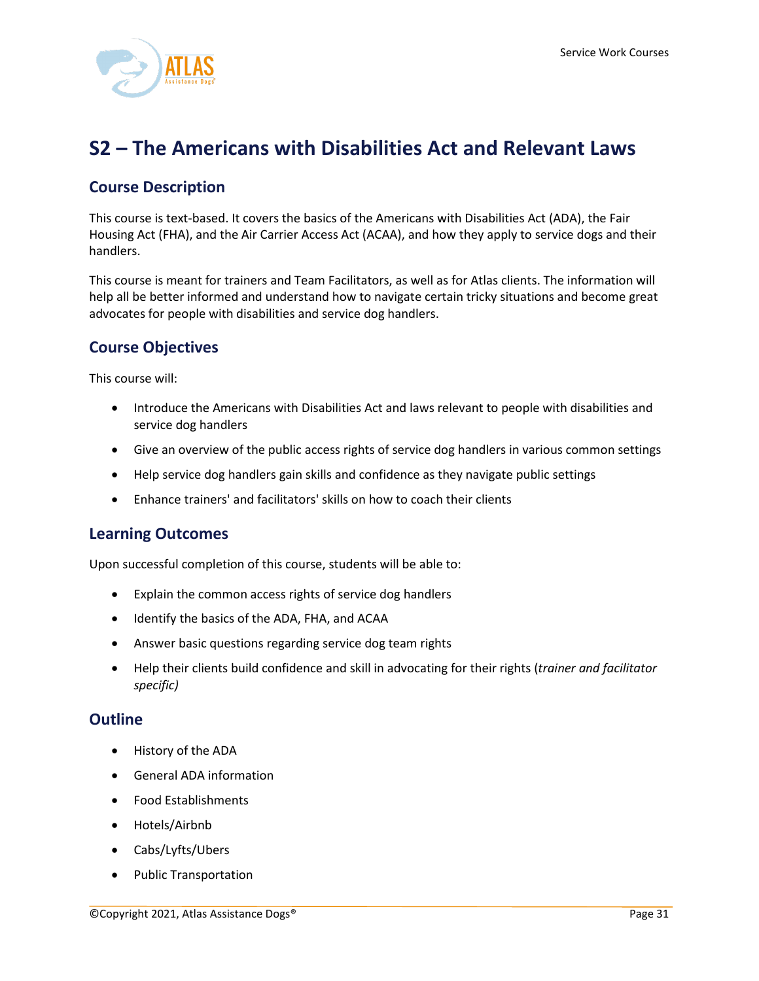

# <span id="page-31-0"></span>**S2 – The Americans with Disabilities Act and Relevant Laws**

## **Course Description**

This course is text-based. It covers the basics of the Americans with Disabilities Act (ADA), the Fair Housing Act (FHA), and the Air Carrier Access Act (ACAA), and how they apply to service dogs and their handlers.

This course is meant for trainers and Team Facilitators, as well as for Atlas clients. The information will help all be better informed and understand how to navigate certain tricky situations and become great advocates for people with disabilities and service dog handlers.

## **Course Objectives**

This course will:

- Introduce the Americans with Disabilities Act and laws relevant to people with disabilities and service dog handlers
- Give an overview of the public access rights of service dog handlers in various common settings
- Help service dog handlers gain skills and confidence as they navigate public settings
- Enhance trainers' and facilitators' skills on how to coach their clients

#### **Learning Outcomes**

Upon successful completion of this course, students will be able to:

- Explain the common access rights of service dog handlers
- Identify the basics of the ADA, FHA, and ACAA
- Answer basic questions regarding service dog team rights
- Help their clients build confidence and skill in advocating for their rights (*trainer and facilitator specific)*

- History of the ADA
- General ADA information
- Food Establishments
- Hotels/Airbnb
- Cabs/Lyfts/Ubers
- Public Transportation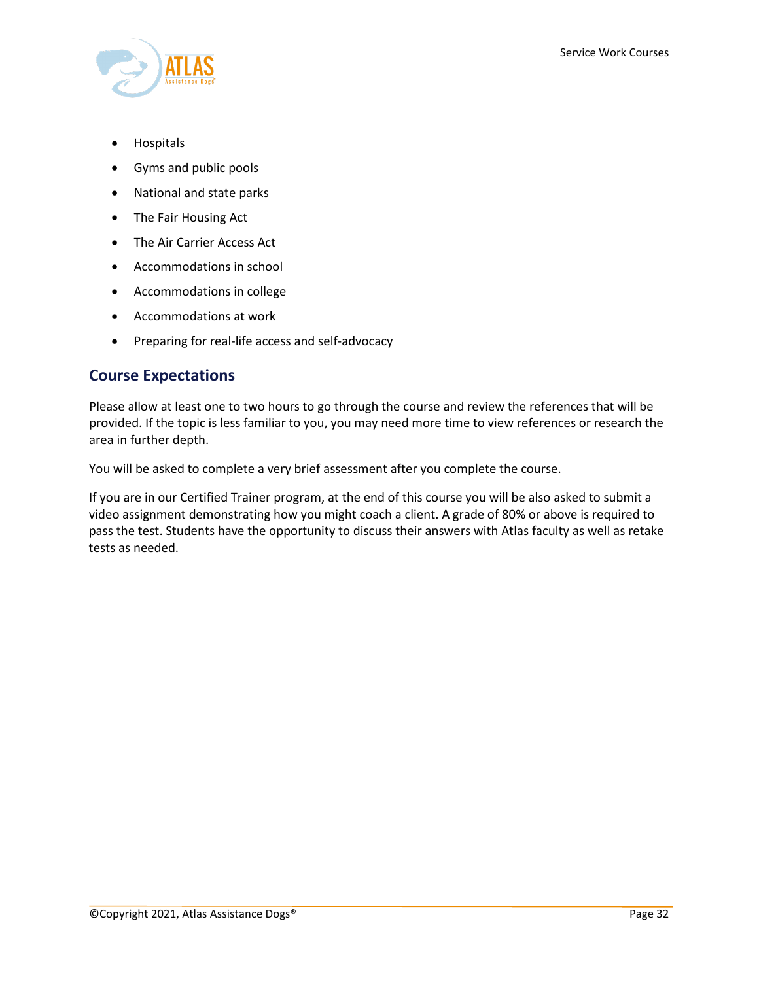- Hospitals
- Gyms and public pools
- National and state parks
- The Fair Housing Act
- The Air Carrier Access Act
- Accommodations in school
- Accommodations in college
- Accommodations at work
- Preparing for real-life access and self-advocacy

#### **Course Expectations**

Please allow at least one to two hours to go through the course and review the references that will be provided. If the topic is less familiar to you, you may need more time to view references or research the area in further depth.

You will be asked to complete a very brief assessment after you complete the course.

If you are in our Certified Trainer program, at the end of this course you will be also asked to submit a video assignment demonstrating how you might coach a client. A grade of 80% or above is required to pass the test. Students have the opportunity to discuss their answers with Atlas faculty as well as retake tests as needed.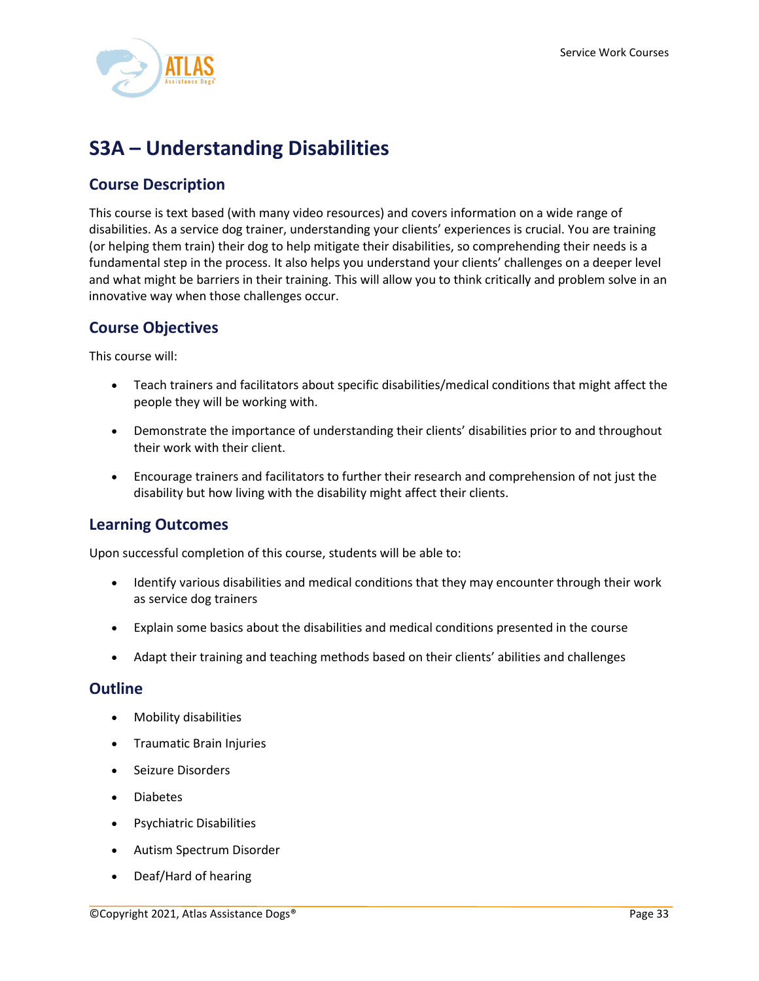

# <span id="page-33-0"></span>**S3A – Understanding Disabilities**

## **Course Description**

This course is text based (with many video resources) and covers information on a wide range of disabilities. As a service dog trainer, understanding your clients' experiences is crucial. You are training (or helping them train) their dog to help mitigate their disabilities, so comprehending their needs is a fundamental step in the process. It also helps you understand your clients' challenges on a deeper level and what might be barriers in their training. This will allow you to think critically and problem solve in an innovative way when those challenges occur.

## **Course Objectives**

This course will:

- Teach trainers and facilitators about specific disabilities/medical conditions that might affect the people they will be working with.
- Demonstrate the importance of understanding their clients' disabilities prior to and throughout their work with their client.
- Encourage trainers and facilitators to further their research and comprehension of not just the disability but how living with the disability might affect their clients.

## **Learning Outcomes**

Upon successful completion of this course, students will be able to:

- Identify various disabilities and medical conditions that they may encounter through their work as service dog trainers
- Explain some basics about the disabilities and medical conditions presented in the course
- Adapt their training and teaching methods based on their clients' abilities and challenges

- Mobility disabilities
- Traumatic Brain Injuries
- Seizure Disorders
- Diabetes
- Psychiatric Disabilities
- Autism Spectrum Disorder
- Deaf/Hard of hearing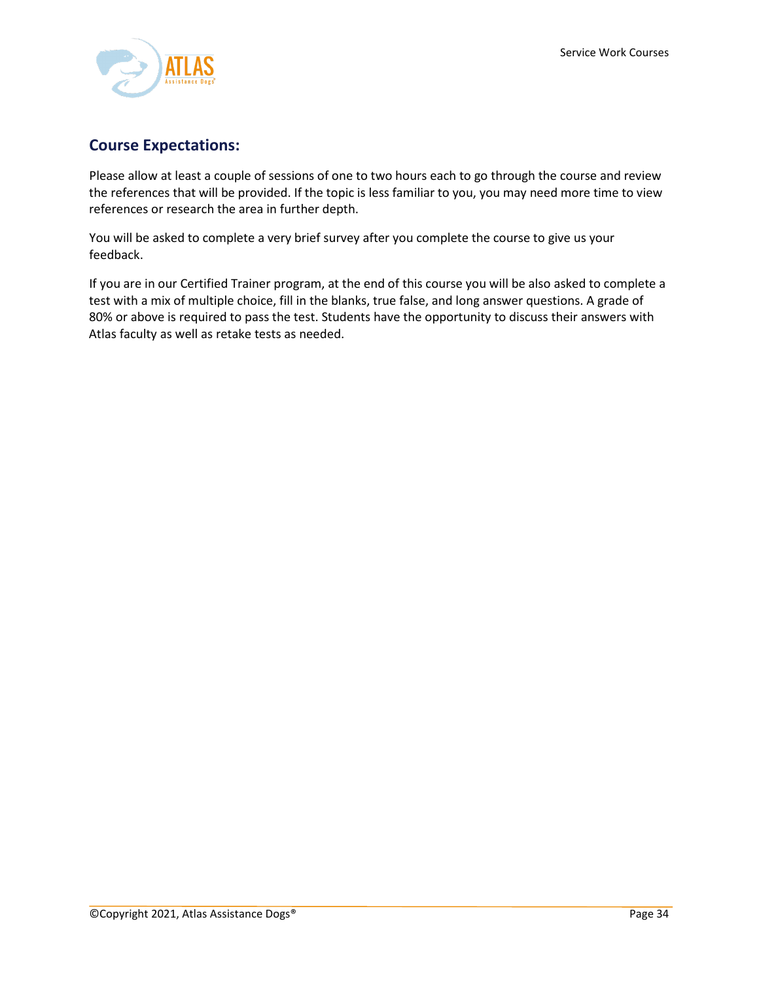

# **Course Expectations:**

Please allow at least a couple of sessions of one to two hours each to go through the course and review the references that will be provided. If the topic is less familiar to you, you may need more time to view references or research the area in further depth.

You will be asked to complete a very brief survey after you complete the course to give us your feedback.

If you are in our Certified Trainer program, at the end of this course you will be also asked to complete a test with a mix of multiple choice, fill in the blanks, true false, and long answer questions. A grade of 80% or above is required to pass the test. Students have the opportunity to discuss their answers with Atlas faculty as well as retake tests as needed.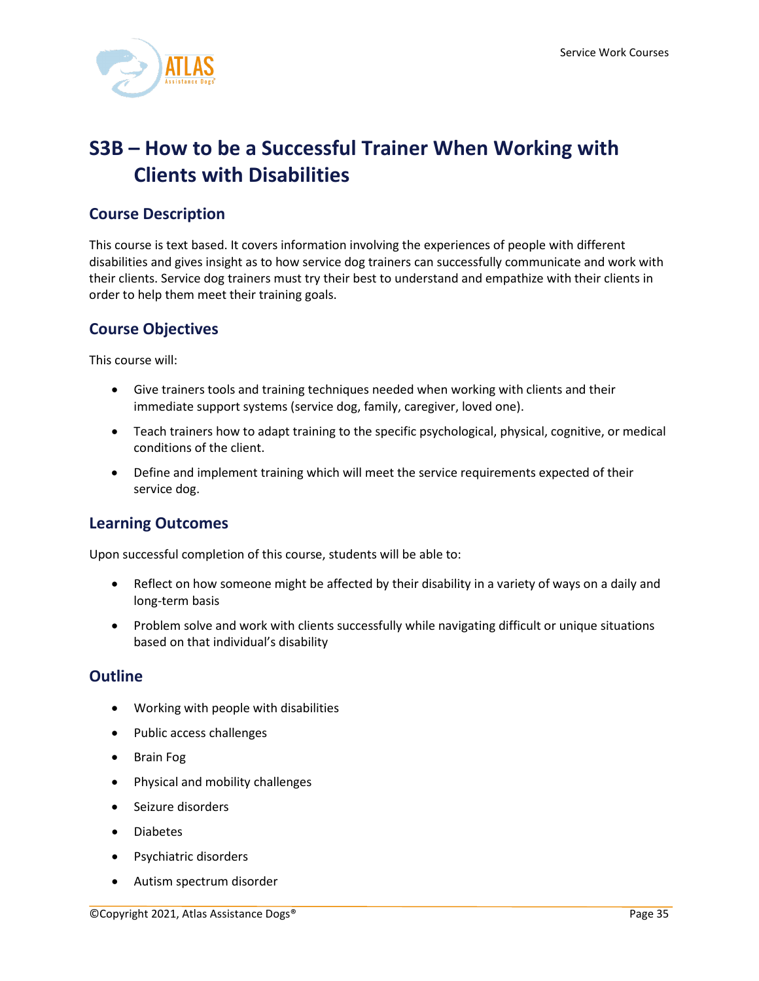

# <span id="page-35-0"></span>**S3B – How to be a Successful Trainer When Working with Clients with Disabilities**

## **Course Description**

This course is text based. It covers information involving the experiences of people with different disabilities and gives insight as to how service dog trainers can successfully communicate and work with their clients. Service dog trainers must try their best to understand and empathize with their clients in order to help them meet their training goals.

## **Course Objectives**

This course will:

- Give trainers tools and training techniques needed when working with clients and their immediate support systems (service dog, family, caregiver, loved one).
- Teach trainers how to adapt training to the specific psychological, physical, cognitive, or medical conditions of the client.
- Define and implement training which will meet the service requirements expected of their service dog.

# **Learning Outcomes**

Upon successful completion of this course, students will be able to:

- Reflect on how someone might be affected by their disability in a variety of ways on a daily and long-term basis
- Problem solve and work with clients successfully while navigating difficult or unique situations based on that individual's disability

- Working with people with disabilities
- Public access challenges
- Brain Fog
- Physical and mobility challenges
- Seizure disorders
- Diabetes
- Psychiatric disorders
- Autism spectrum disorder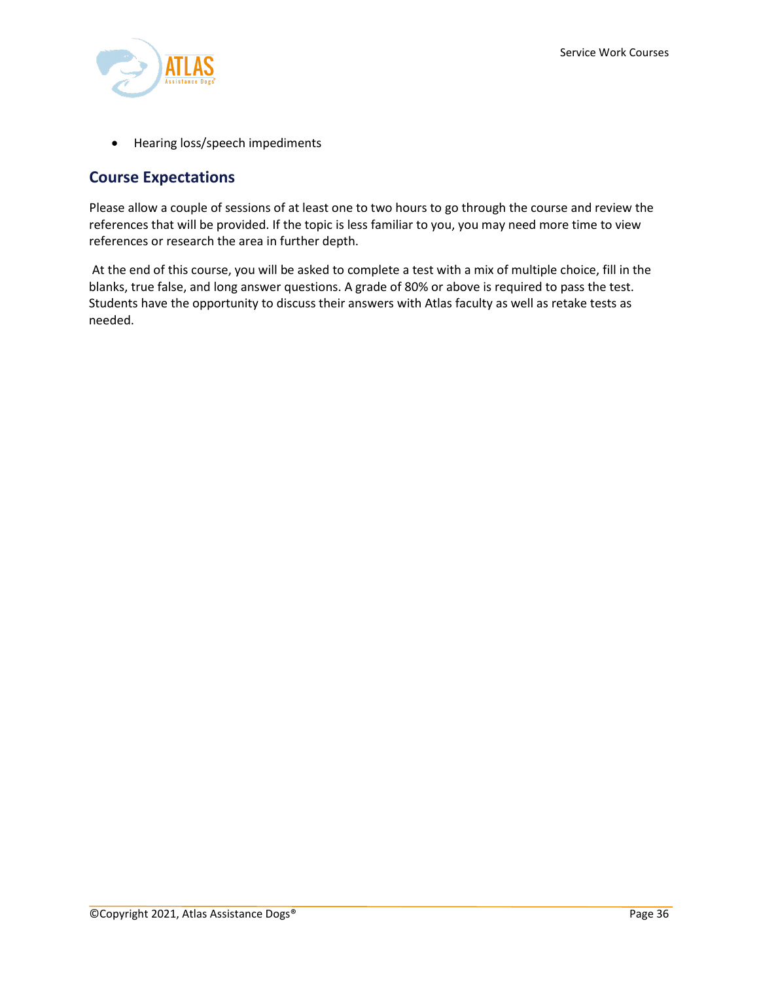

• Hearing loss/speech impediments

## **Course Expectations**

Please allow a couple of sessions of at least one to two hours to go through the course and review the references that will be provided. If the topic is less familiar to you, you may need more time to view references or research the area in further depth.

At the end of this course, you will be asked to complete a test with a mix of multiple choice, fill in the blanks, true false, and long answer questions. A grade of 80% or above is required to pass the test. Students have the opportunity to discuss their answers with Atlas faculty as well as retake tests as needed.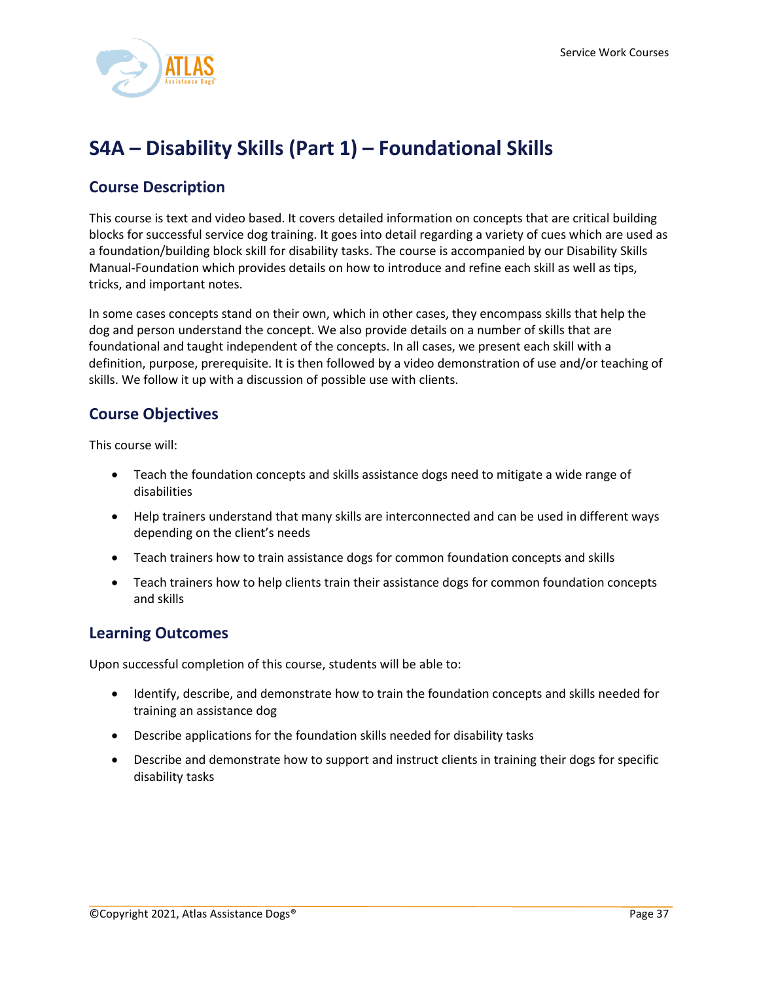

# <span id="page-37-0"></span>**S4A – Disability Skills (Part 1) – Foundational Skills**

# **Course Description**

This course is text and video based. It covers detailed information on concepts that are critical building blocks for successful service dog training. It goes into detail regarding a variety of cues which are used as a foundation/building block skill for disability tasks. The course is accompanied by our Disability Skills Manual-Foundation which provides details on how to introduce and refine each skill as well as tips, tricks, and important notes.

In some cases concepts stand on their own, which in other cases, they encompass skills that help the dog and person understand the concept. We also provide details on a number of skills that are foundational and taught independent of the concepts. In all cases, we present each skill with a definition, purpose, prerequisite. It is then followed by a video demonstration of use and/or teaching of skills. We follow it up with a discussion of possible use with clients.

## **Course Objectives**

This course will:

- Teach the foundation concepts and skills assistance dogs need to mitigate a wide range of disabilities
- Help trainers understand that many skills are interconnected and can be used in different ways depending on the client's needs
- Teach trainers how to train assistance dogs for common foundation concepts and skills
- Teach trainers how to help clients train their assistance dogs for common foundation concepts and skills

## **Learning Outcomes**

Upon successful completion of this course, students will be able to:

- Identify, describe, and demonstrate how to train the foundation concepts and skills needed for training an assistance dog
- Describe applications for the foundation skills needed for disability tasks
- Describe and demonstrate how to support and instruct clients in training their dogs for specific disability tasks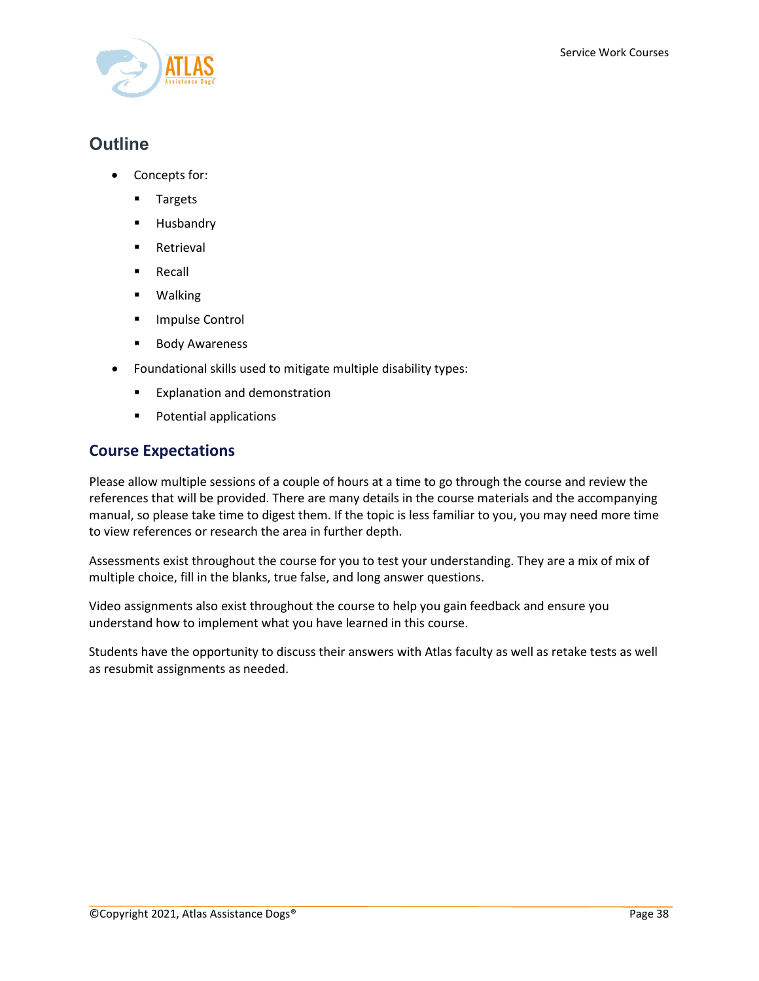

# **Outline**

- Concepts for:
	- **Targets**
	- **Husbandry**
	- **Retrieval**
	- **Recall**
	- Walking
	- **Impulse Control**
	- **Body Awareness**
- Foundational skills used to mitigate multiple disability types:
	- **Explanation and demonstration**
	- **Potential applications**

## **Course Expectations**

Please allow multiple sessions of a couple of hours at a time to go through the course and review the references that will be provided. There are many details in the course materials and the accompanying manual, so please take time to digest them. If the topic is less familiar to you, you may need more time to view references or research the area in further depth.

Assessments exist throughout the course for you to test your understanding. They are a mix of mix of multiple choice, fill in the blanks, true false, and long answer questions.

Video assignments also exist throughout the course to help you gain feedback and ensure you understand how to implement what you have learned in this course.

Students have the opportunity to discuss their answers with Atlas faculty as well as retake tests as well as resubmit assignments as needed.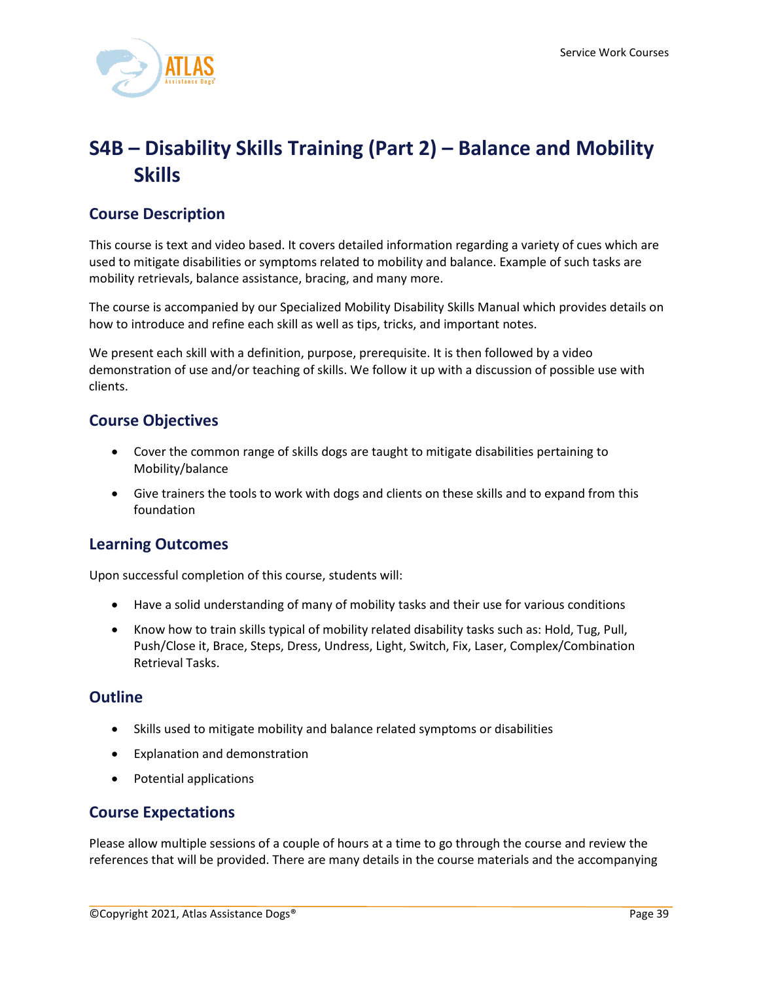

# <span id="page-39-0"></span>**S4B – Disability Skills Training (Part 2) – Balance and Mobility Skills**

# **Course Description**

This course is text and video based. It covers detailed information regarding a variety of cues which are used to mitigate disabilities or symptoms related to mobility and balance. Example of such tasks are mobility retrievals, balance assistance, bracing, and many more.

The course is accompanied by our Specialized Mobility Disability Skills Manual which provides details on how to introduce and refine each skill as well as tips, tricks, and important notes.

We present each skill with a definition, purpose, prerequisite. It is then followed by a video demonstration of use and/or teaching of skills. We follow it up with a discussion of possible use with clients.

# **Course Objectives**

- Cover the common range of skills dogs are taught to mitigate disabilities pertaining to Mobility/balance
- Give trainers the tools to work with dogs and clients on these skills and to expand from this foundation

# **Learning Outcomes**

Upon successful completion of this course, students will:

- Have a solid understanding of many of mobility tasks and their use for various conditions
- Know how to train skills typical of mobility related disability tasks such as: Hold, Tug, Pull, Push/Close it, Brace, Steps, Dress, Undress, Light, Switch, Fix, Laser, Complex/Combination Retrieval Tasks.

## **Outline**

- Skills used to mitigate mobility and balance related symptoms or disabilities
- Explanation and demonstration
- Potential applications

## **Course Expectations**

Please allow multiple sessions of a couple of hours at a time to go through the course and review the references that will be provided. There are many details in the course materials and the accompanying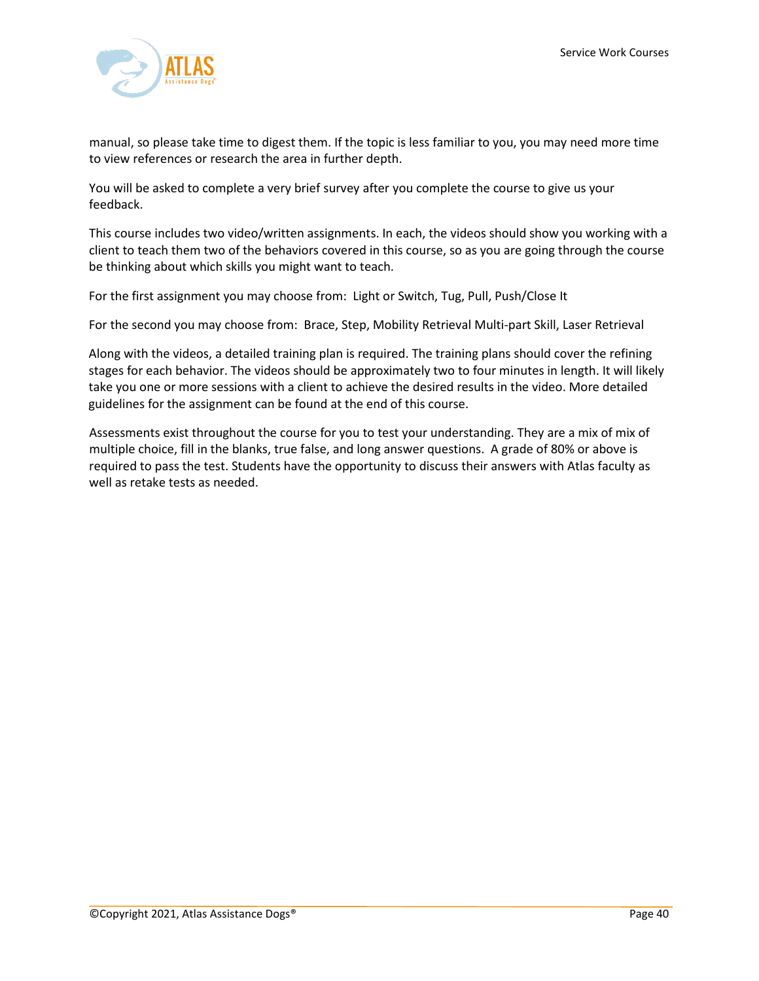

manual, so please take time to digest them. If the topic is less familiar to you, you may need more time to view references or research the area in further depth.

You will be asked to complete a very brief survey after you complete the course to give us your feedback.

This course includes two video/written assignments. In each, the videos should show you working with a client to teach them two of the behaviors covered in this course, so as you are going through the course be thinking about which skills you might want to teach.

For the first assignment you may choose from: Light or Switch, Tug, Pull, Push/Close It

For the second you may choose from: Brace, Step, Mobility Retrieval Multi-part Skill, Laser Retrieval

Along with the videos, a detailed training plan is required. The training plans should cover the refining stages for each behavior. The videos should be approximately two to four minutes in length. It will likely take you one or more sessions with a client to achieve the desired results in the video. More detailed guidelines for the assignment can be found at the end of this course.

Assessments exist throughout the course for you to test your understanding. They are a mix of mix of multiple choice, fill in the blanks, true false, and long answer questions. A grade of 80% or above is required to pass the test. Students have the opportunity to discuss their answers with Atlas faculty as well as retake tests as needed.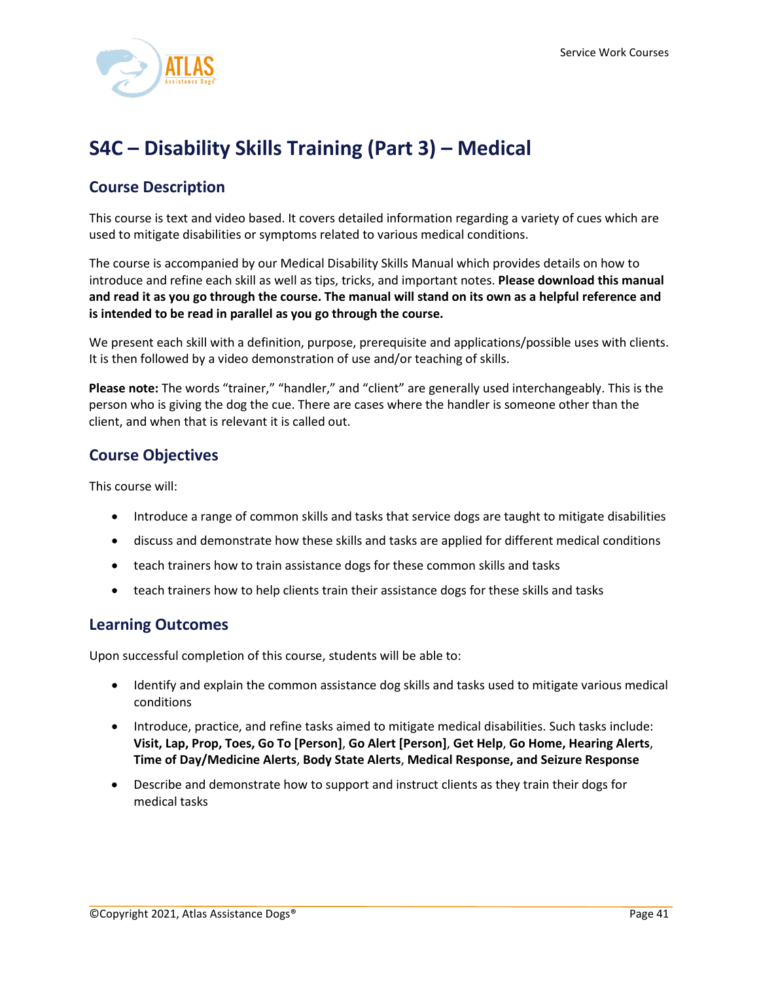

# <span id="page-41-0"></span>**S4C – Disability Skills Training (Part 3) – Medical**

# **Course Description**

This course is text and video based. It covers detailed information regarding a variety of cues which are used to mitigate disabilities or symptoms related to various medical conditions.

The course is accompanied by our Medical Disability Skills Manual which provides details on how to introduce and refine each skill as well as tips, tricks, and important notes. **Please download this manual** and read it as you go through the course. The manual will stand on its own as a helpful reference and **is intended to be read in parallel as you go through the course.**

We present each skill with a definition, purpose, prerequisite and applications/possible uses with clients. It is then followed by a video demonstration of use and/or teaching of skills.

**Please note:** The words "trainer," "handler," and "client" are generally used interchangeably. This is the person who is giving the dog the cue. There are cases where the handler is someone other than the client, and when that is relevant it is called out.

## **Course Objectives**

This course will:

- Introduce a range of common skills and tasks that service dogs are taught to mitigate disabilities
- discuss and demonstrate how these skills and tasks are applied for different medical conditions
- teach trainers how to train assistance dogs for these common skills and tasks
- teach trainers how to help clients train their assistance dogs for these skills and tasks

#### **Learning Outcomes**

Upon successful completion of this course, students will be able to:

- Identify and explain the common assistance dog skills and tasks used to mitigate various medical conditions
- Introduce, practice, and refine tasks aimed to mitigate medical disabilities. Such tasks include: **Visit, Lap, Prop, Toes, Go To [Person]**, **Go Alert [Person]**, **Get Help**, **Go Home, Hearing Alerts**, **Time of Day/Medicine Alerts**, **Body State Alerts**, **Medical Response, and Seizure Response**
- Describe and demonstrate how to support and instruct clients as they train their dogs for medical tasks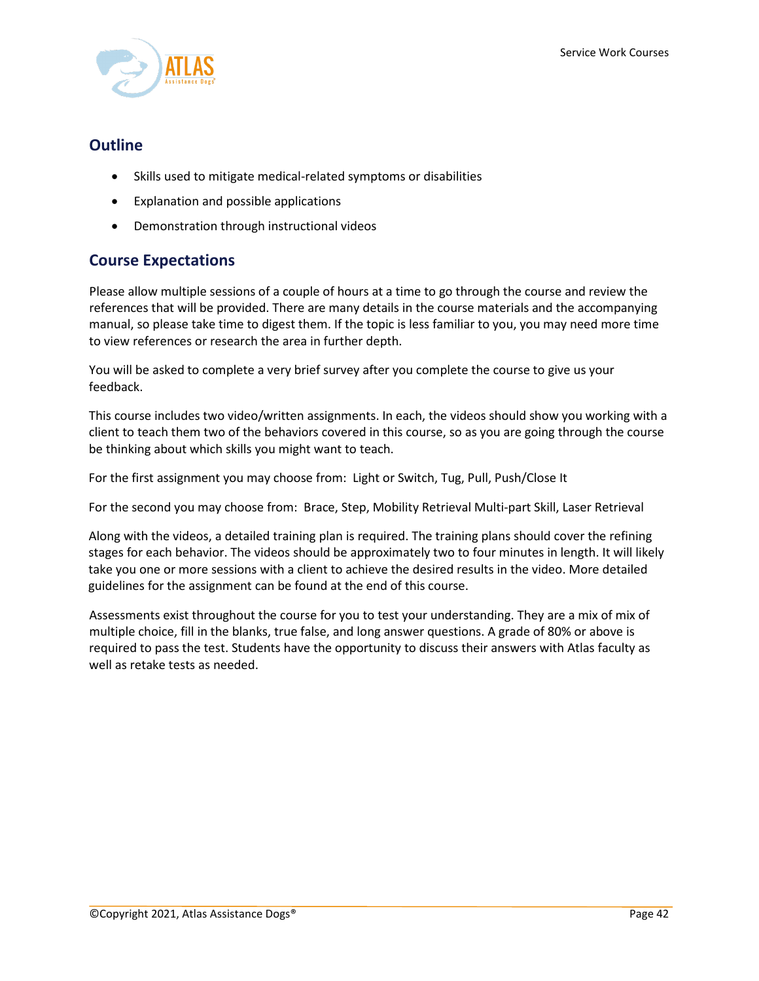

### **Outline**

- Skills used to mitigate medical-related symptoms or disabilities
- Explanation and possible applications
- Demonstration through instructional videos

## **Course Expectations**

Please allow multiple sessions of a couple of hours at a time to go through the course and review the references that will be provided. There are many details in the course materials and the accompanying manual, so please take time to digest them. If the topic is less familiar to you, you may need more time to view references or research the area in further depth.

You will be asked to complete a very brief survey after you complete the course to give us your feedback.

This course includes two video/written assignments. In each, the videos should show you working with a client to teach them two of the behaviors covered in this course, so as you are going through the course be thinking about which skills you might want to teach.

For the first assignment you may choose from: Light or Switch, Tug, Pull, Push/Close It

For the second you may choose from: Brace, Step, Mobility Retrieval Multi-part Skill, Laser Retrieval

Along with the videos, a detailed training plan is required. The training plans should cover the refining stages for each behavior. The videos should be approximately two to four minutes in length. It will likely take you one or more sessions with a client to achieve the desired results in the video. More detailed guidelines for the assignment can be found at the end of this course.

Assessments exist throughout the course for you to test your understanding. They are a mix of mix of multiple choice, fill in the blanks, true false, and long answer questions. A grade of 80% or above is required to pass the test. Students have the opportunity to discuss their answers with Atlas faculty as well as retake tests as needed.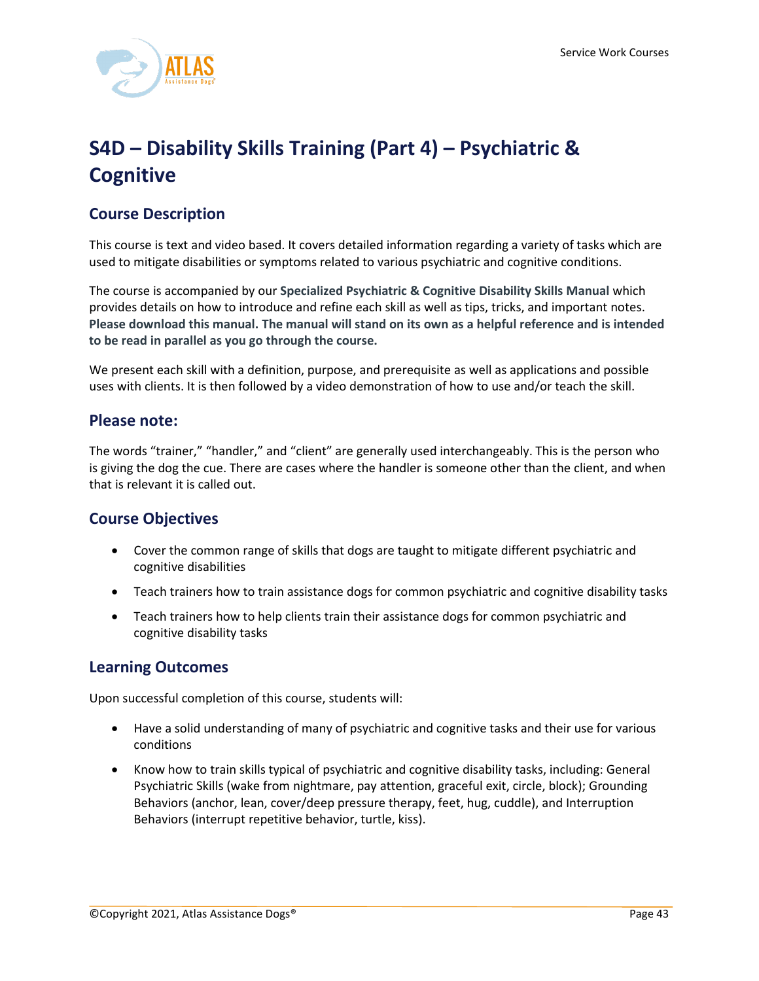

# <span id="page-43-0"></span>**S4D – Disability Skills Training (Part 4) – Psychiatric & Cognitive**

# **Course Description**

This course is text and video based. It covers detailed information regarding a variety of tasks which are used to mitigate disabilities or symptoms related to various psychiatric and cognitive conditions.

The course is accompanied by our **Specialized Psychiatric & Cognitive Disability Skills Manual** which provides details on how to introduce and refine each skill as well as tips, tricks, and important notes. **Please download this manual. The manual will stand on its own as a helpful reference and is intended to be read in parallel as you go through the course.**

We present each skill with a definition, purpose, and prerequisite as well as applications and possible uses with clients. It is then followed by a video demonstration of how to use and/or teach the skill.

#### **Please note:**

The words "trainer," "handler," and "client" are generally used interchangeably. This is the person who is giving the dog the cue. There are cases where the handler is someone other than the client, and when that is relevant it is called out.

## **Course Objectives**

- Cover the common range of skills that dogs are taught to mitigate different psychiatric and cognitive disabilities
- Teach trainers how to train assistance dogs for common psychiatric and cognitive disability tasks
- Teach trainers how to help clients train their assistance dogs for common psychiatric and cognitive disability tasks

#### **Learning Outcomes**

Upon successful completion of this course, students will:

- Have a solid understanding of many of psychiatric and cognitive tasks and their use for various conditions
- Know how to train skills typical of psychiatric and cognitive disability tasks, including: General Psychiatric Skills (wake from nightmare, pay attention, graceful exit, circle, block); Grounding Behaviors (anchor, lean, cover/deep pressure therapy, feet, hug, cuddle), and Interruption Behaviors (interrupt repetitive behavior, turtle, kiss).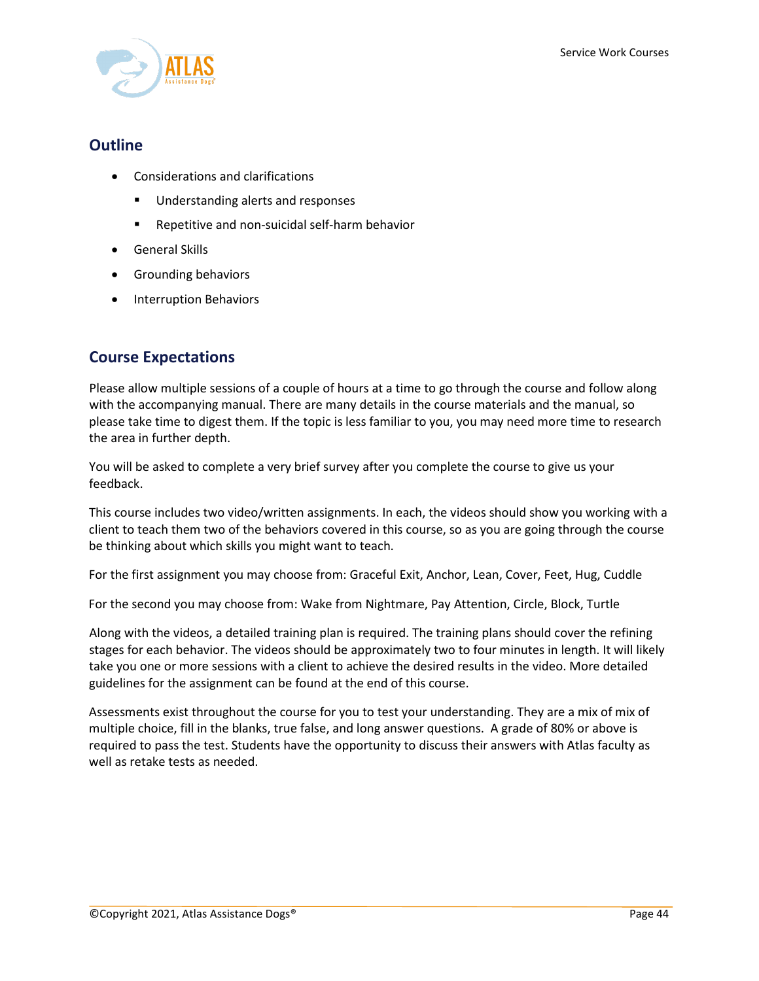

### **Outline**

- Considerations and clarifications
	- **Understanding alerts and responses**
	- **Repetitive and non-suicidal self-harm behavior**
- General Skills
- Grounding behaviors
- Interruption Behaviors

## **Course Expectations**

Please allow multiple sessions of a couple of hours at a time to go through the course and follow along with the accompanying manual. There are many details in the course materials and the manual, so please take time to digest them. If the topic is less familiar to you, you may need more time to research the area in further depth.

You will be asked to complete a very brief survey after you complete the course to give us your feedback.

This course includes two video/written assignments. In each, the videos should show you working with a client to teach them two of the behaviors covered in this course, so as you are going through the course be thinking about which skills you might want to teach.

For the first assignment you may choose from: Graceful Exit, Anchor, Lean, Cover, Feet, Hug, Cuddle

For the second you may choose from: Wake from Nightmare, Pay Attention, Circle, Block, Turtle

Along with the videos, a detailed training plan is required. The training plans should cover the refining stages for each behavior. The videos should be approximately two to four minutes in length. It will likely take you one or more sessions with a client to achieve the desired results in the video. More detailed guidelines for the assignment can be found at the end of this course.

Assessments exist throughout the course for you to test your understanding. They are a mix of mix of multiple choice, fill in the blanks, true false, and long answer questions. A grade of 80% or above is required to pass the test. Students have the opportunity to discuss their answers with Atlas faculty as well as retake tests as needed.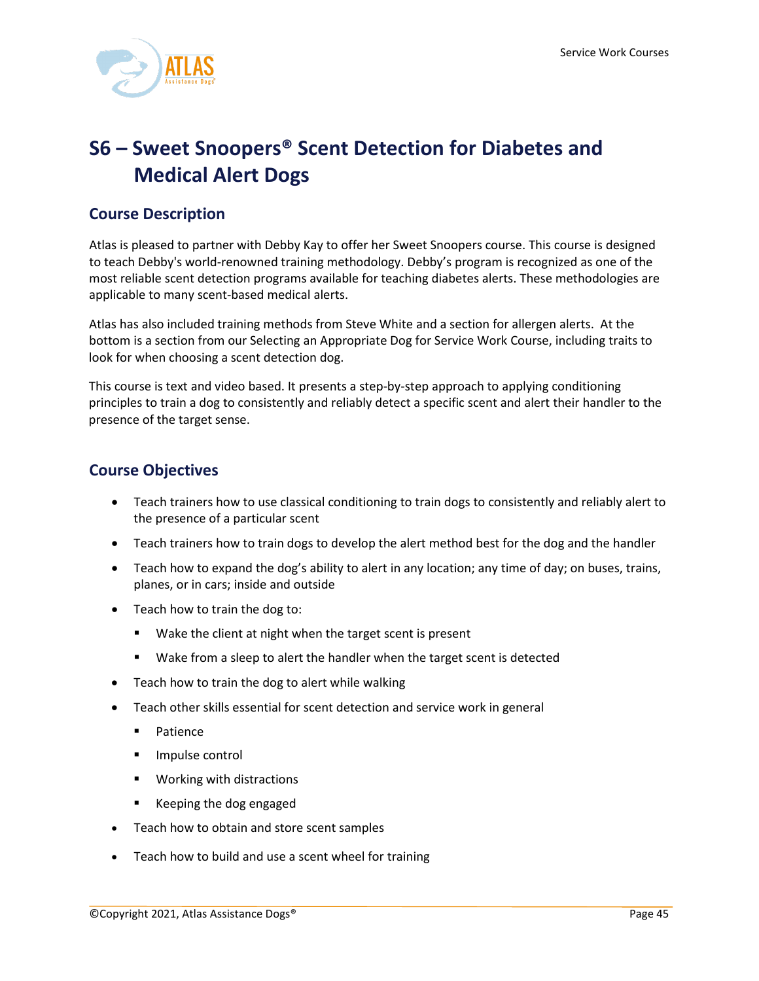

# <span id="page-45-0"></span>**S6 – Sweet Snoopers® Scent Detection for Diabetes and Medical Alert Dogs**

## **Course Description**

Atlas is pleased to partner with Debby Kay to offer her Sweet Snoopers course. This course is designed to teach Debby's world-renowned training methodology. Debby's program is recognized as one of the most reliable scent detection programs available for teaching diabetes alerts. These methodologies are applicable to many scent-based medical alerts.

Atlas has also included training methods from Steve White and a section for allergen alerts. At the bottom is a section from our Selecting an Appropriate Dog for Service Work Course, including traits to look for when choosing a scent detection dog.

This course is text and video based. It presents a step-by-step approach to applying conditioning principles to train a dog to consistently and reliably detect a specific scent and alert their handler to the presence of the target sense.

## **Course Objectives**

- Teach trainers how to use classical conditioning to train dogs to consistently and reliably alert to the presence of a particular scent
- Teach trainers how to train dogs to develop the alert method best for the dog and the handler
- Teach how to expand the dog's ability to alert in any location; any time of day; on buses, trains, planes, or in cars; inside and outside
- Teach how to train the dog to:
	- **Wake the client at night when the target scent is present**
	- Wake from a sleep to alert the handler when the target scent is detected
- Teach how to train the dog to alert while walking
- Teach other skills essential for scent detection and service work in general
	- **Patience**
	- **Impulse control**
	- **Working with distractions**
	- Keeping the dog engaged
- Teach how to obtain and store scent samples
- Teach how to build and use a scent wheel for training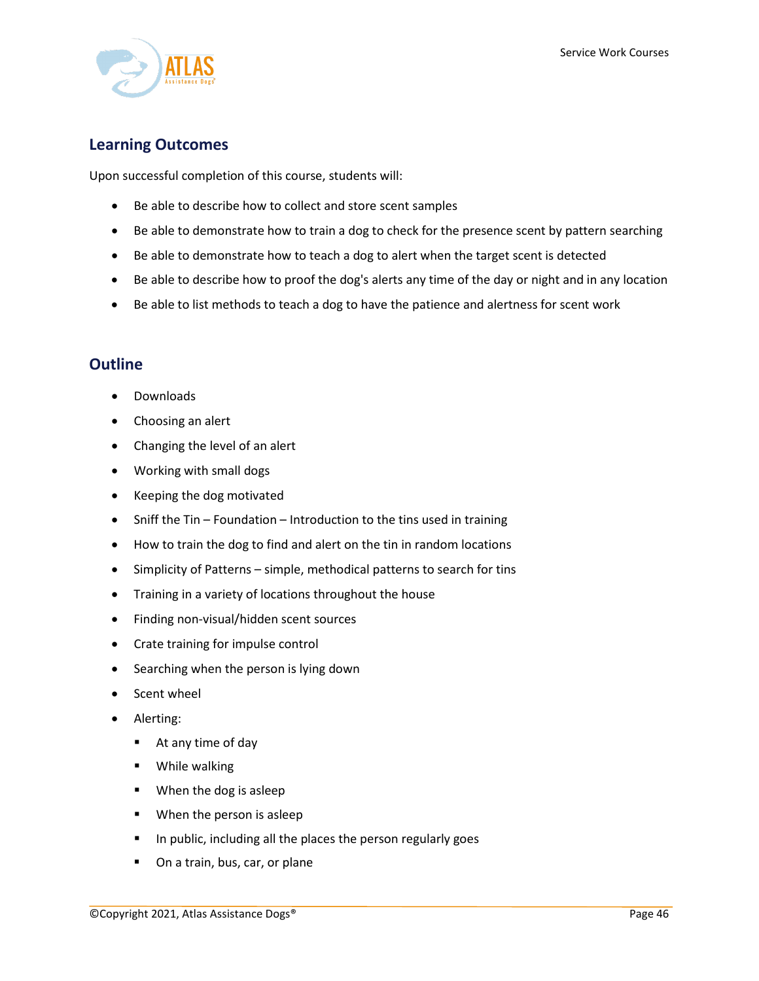

## **Learning Outcomes**

Upon successful completion of this course, students will:

- Be able to describe how to collect and store scent samples
- Be able to demonstrate how to train a dog to check for the presence scent by pattern searching
- Be able to demonstrate how to teach a dog to alert when the target scent is detected
- Be able to describe how to proof the dog's alerts any time of the day or night and in any location
- Be able to list methods to teach a dog to have the patience and alertness for scent work

- Downloads
- Choosing an alert
- Changing the level of an alert
- Working with small dogs
- Keeping the dog motivated
- Sniff the Tin Foundation Introduction to the tins used in training
- How to train the dog to find and alert on the tin in random locations
- Simplicity of Patterns simple, methodical patterns to search for tins
- Training in a variety of locations throughout the house
- Finding non-visual/hidden scent sources
- Crate training for impulse control
- Searching when the person is lying down
- Scent wheel
- Alerting:
	- At any time of day
	- **•** While walking
	- **When the dog is asleep**
	- **When the person is asleep**
	- **IF In public, including all the places the person regularly goes**
	- **•** On a train, bus, car, or plane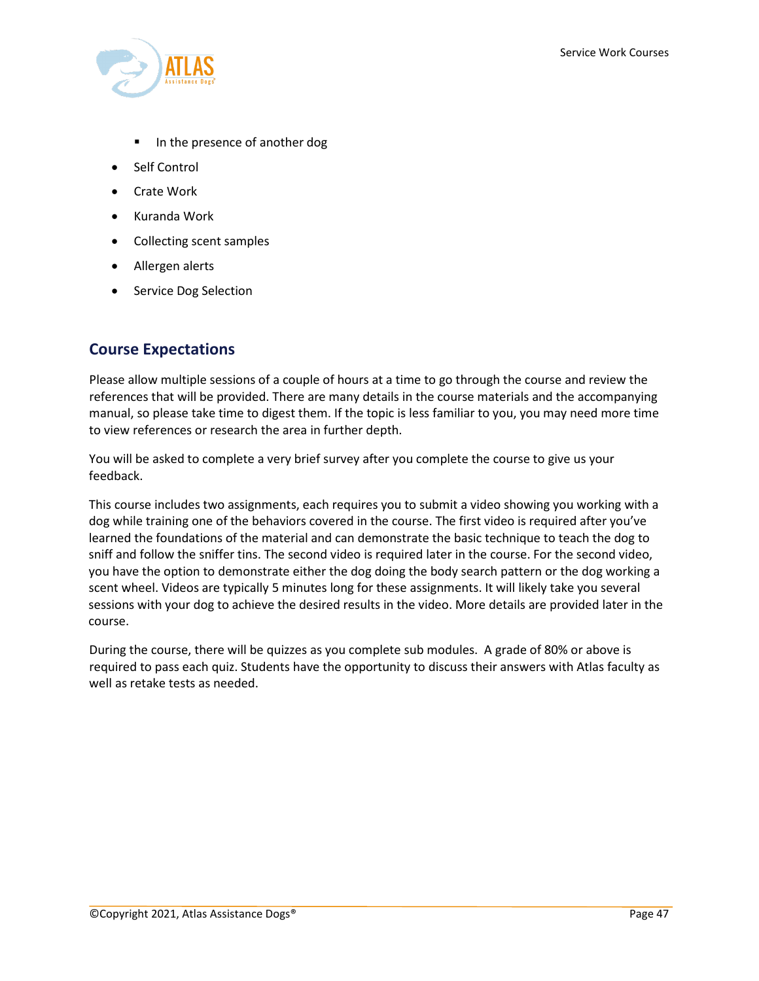

- In the presence of another dog
- Self Control
- Crate Work
- Kuranda Work
- Collecting scent samples
- Allergen alerts
- **Service Dog Selection**

## **Course Expectations**

Please allow multiple sessions of a couple of hours at a time to go through the course and review the references that will be provided. There are many details in the course materials and the accompanying manual, so please take time to digest them. If the topic is less familiar to you, you may need more time to view references or research the area in further depth.

You will be asked to complete a very brief survey after you complete the course to give us your feedback.

This course includes two assignments, each requires you to submit a video showing you working with a dog while training one of the behaviors covered in the course. The first video is required after you've learned the foundations of the material and can demonstrate the basic technique to teach the dog to sniff and follow the sniffer tins. The second video is required later in the course. For the second video, you have the option to demonstrate either the dog doing the body search pattern or the dog working a scent wheel. Videos are typically 5 minutes long for these assignments. It will likely take you several sessions with your dog to achieve the desired results in the video. More details are provided later in the course.

During the course, there will be quizzes as you complete sub modules. A grade of 80% or above is required to pass each quiz. Students have the opportunity to discuss their answers with Atlas faculty as well as retake tests as needed.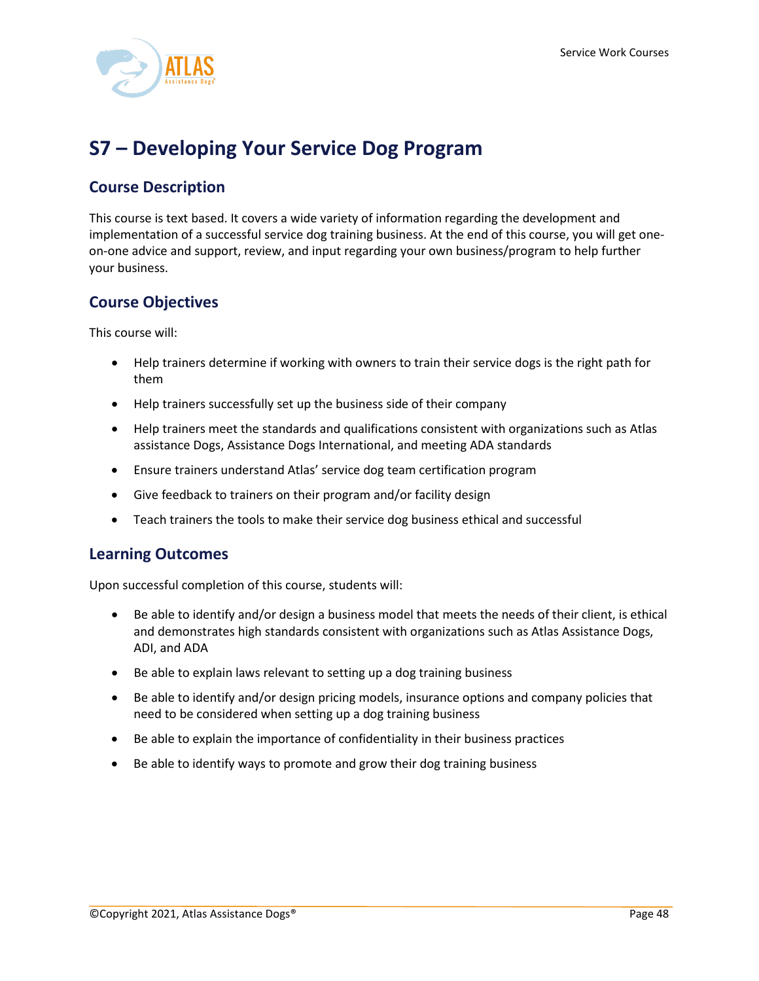

# <span id="page-48-0"></span>**S7 – Developing Your Service Dog Program**

# **Course Description**

This course is text based. It covers a wide variety of information regarding the development and implementation of a successful service dog training business. At the end of this course, you will get oneon-one advice and support, review, and input regarding your own business/program to help further your business.

# **Course Objectives**

This course will:

- Help trainers determine if working with owners to train their service dogs is the right path for them
- Help trainers successfully set up the business side of their company
- Help trainers meet the standards and qualifications consistent with organizations such as Atlas assistance Dogs, Assistance Dogs International, and meeting ADA standards
- Ensure trainers understand Atlas' service dog team certification program
- Give feedback to trainers on their program and/or facility design
- Teach trainers the tools to make their service dog business ethical and successful

## **Learning Outcomes**

Upon successful completion of this course, students will:

- Be able to identify and/or design a business model that meets the needs of their client, is ethical and demonstrates high standards consistent with organizations such as Atlas Assistance Dogs, ADI, and ADA
- Be able to explain laws relevant to setting up a dog training business
- Be able to identify and/or design pricing models, insurance options and company policies that need to be considered when setting up a dog training business
- Be able to explain the importance of confidentiality in their business practices
- Be able to identify ways to promote and grow their dog training business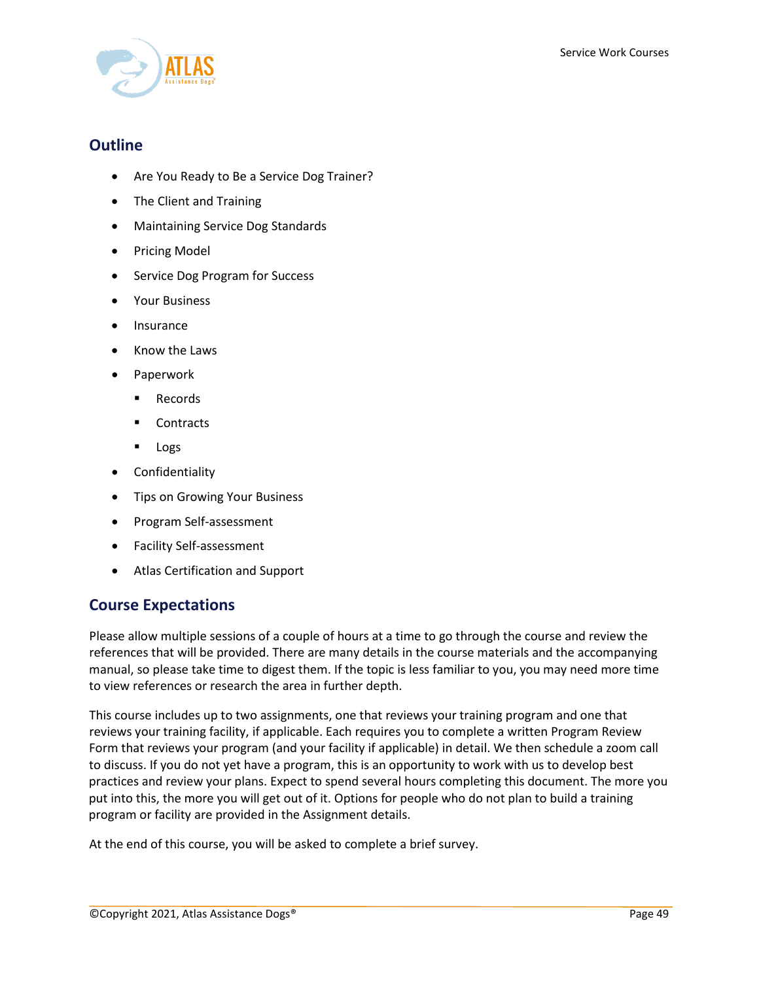

## **Outline**

- Are You Ready to Be a Service Dog Trainer?
- The Client and Training
- Maintaining Service Dog Standards
- Pricing Model
- Service Dog Program for Success
- Your Business
- Insurance
- Know the Laws
- Paperwork
	- **Records**
	- Contracts
	- **Logs**
- Confidentiality
- Tips on Growing Your Business
- Program Self-assessment
- Facility Self-assessment
- Atlas Certification and Support

## **Course Expectations**

Please allow multiple sessions of a couple of hours at a time to go through the course and review the references that will be provided. There are many details in the course materials and the accompanying manual, so please take time to digest them. If the topic is less familiar to you, you may need more time to view references or research the area in further depth.

This course includes up to two assignments, one that reviews your training program and one that reviews your training facility, if applicable. Each requires you to complete a written Program Review Form that reviews your program (and your facility if applicable) in detail. We then schedule a zoom call to discuss. If you do not yet have a program, this is an opportunity to work with us to develop best practices and review your plans. Expect to spend several hours completing this document. The more you put into this, the more you will get out of it. Options for people who do not plan to build a training program or facility are provided in the Assignment details.

At the end of this course, you will be asked to complete a brief survey.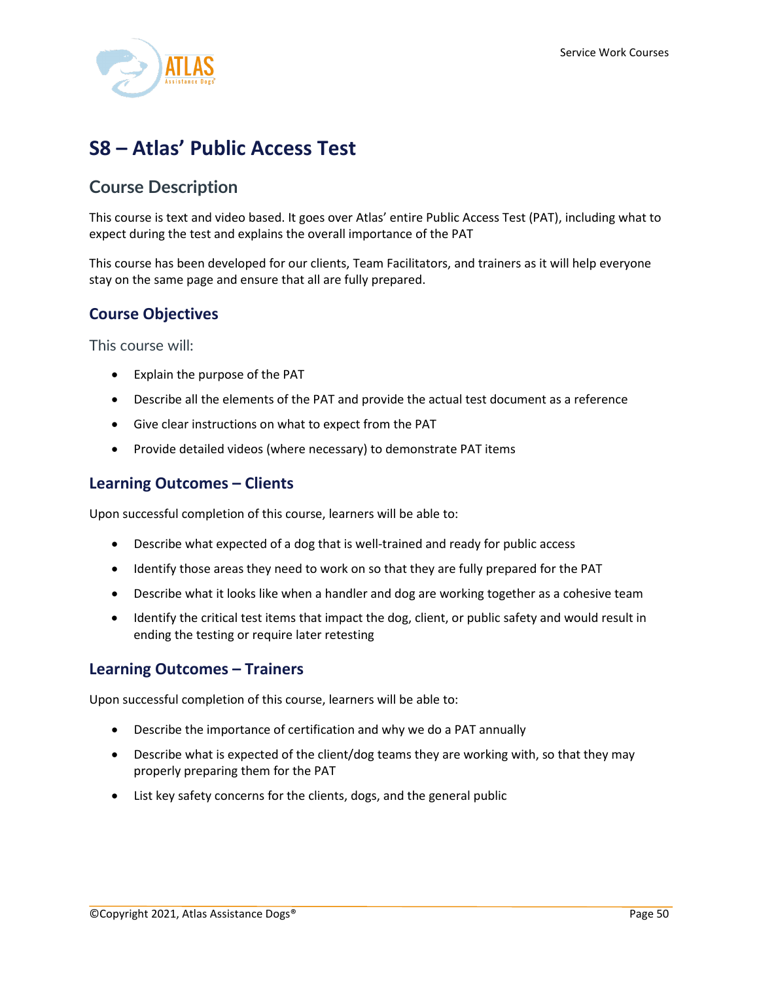

# <span id="page-50-0"></span>**S8 – Atlas' Public Access Test**

# **Course Description**

This course is text and video based. It goes over Atlas' entire Public Access Test (PAT), including what to expect during the test and explains the overall importance of the PAT

This course has been developed for our clients, Team Facilitators, and trainers as it will help everyone stay on the same page and ensure that all are fully prepared.

## **Course Objectives**

This course will:

- Explain the purpose of the PAT
- Describe all the elements of the PAT and provide the actual test document as a reference
- Give clear instructions on what to expect from the PAT
- Provide detailed videos (where necessary) to demonstrate PAT items

### **Learning Outcomes – Clients**

Upon successful completion of this course, learners will be able to:

- Describe what expected of a dog that is well-trained and ready for public access
- Identify those areas they need to work on so that they are fully prepared for the PAT
- Describe what it looks like when a handler and dog are working together as a cohesive team
- Identify the critical test items that impact the dog, client, or public safety and would result in ending the testing or require later retesting

#### **Learning Outcomes – Trainers**

Upon successful completion of this course, learners will be able to:

- Describe the importance of certification and why we do a PAT annually
- Describe what is expected of the client/dog teams they are working with, so that they may properly preparing them for the PAT
- List key safety concerns for the clients, dogs, and the general public